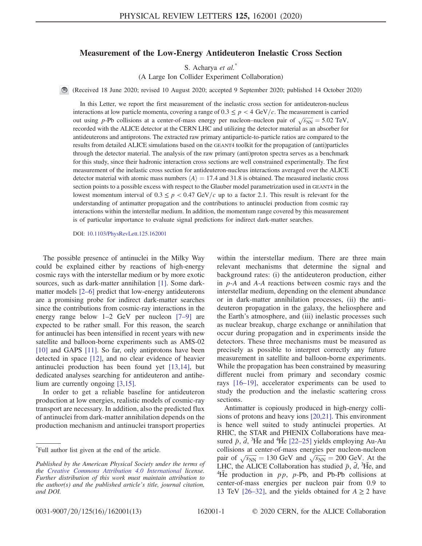## Measurement of the Low-Energy Antideuteron Inelastic Cross Section

S. Acharya et al.\*

(A Large Ion Collider Experiment Collaboration)

(Received 18 June 2020; revised 10 August 2020; accepted 9 September 2020; published 14 October 2020)

In this Letter, we report the first measurement of the inelastic cross section for antideuteron-nucleus interactions at low particle momenta, covering a range of  $0.3 \leq p < 4$  GeV/c. The measurement is carried interactions at low particle inometria, covering a range of  $0.5 \le p < 4$  GeV/c. The measurement is carried out using p-Pb collisions at a center-of-mass energy per nucleon–nucleon pair of  $\sqrt{s_{NN}} = 5.02$  TeV, recorded with the ALICE detector at the CERN LHC and utilizing the detector material as an absorber for antideuterons and antiprotons. The extracted raw primary antiparticle-to-particle ratios are compared to the results from detailed ALICE simulations based on the GEANT4 toolkit for the propagation of (anti)particles through the detector material. The analysis of the raw primary (anti)proton spectra serves as a benchmark for this study, since their hadronic interaction cross sections are well constrained experimentally. The first measurement of the inelastic cross section for antideuteron-nucleus interactions averaged over the ALICE detector material with atomic mass numbers  $\langle A \rangle = 17.4$  and 31.8 is obtained. The measured inelastic cross section points to a possible excess with respect to the Glauber model parametrization used in GEANT4 in the lowest momentum interval of  $0.3 \leq p < 0.47$  GeV/c up to a factor 2.1. This result is relevant for the understanding of antimatter propagation and the contributions to antinuclei production from cosmic ray interactions within the interstellar medium. In addition, the momentum range covered by this measurement is of particular importance to evaluate signal predictions for indirect dark-matter searches.

DOI: [10.1103/PhysRevLett.125.162001](https://doi.org/10.1103/PhysRevLett.125.162001)

The possible presence of antinuclei in the Milky Way could be explained either by reactions of high-energy cosmic rays with the interstellar medium or by more exotic sources, such as dark-matter annihilation [\[1\].](#page-5-0) Some darkmatter models [2–[6\]](#page-5-1) predict that low-energy antideuterons are a promising probe for indirect dark-matter searches since the contributions from cosmic-ray interactions in the energy range below 1–2 GeV per nucleon [7–[9\]](#page-5-2) are expected to be rather small. For this reason, the search for antinuclei has been intensified in recent years with new satellite and balloon-borne experiments such as AMS-02 [\[10\]](#page-5-3) and GAPS [\[11\].](#page-5-4) So far, only antiprotons have been detected in space [\[12\],](#page-5-5) and no clear evidence of heavier antinuclei production has been found yet [\[13,14\]](#page-5-6), but dedicated analyses searching for antideuteron and antihelium are currently ongoing [\[3,15\].](#page-5-7)

In order to get a reliable baseline for antideuteron production at low energies, realistic models of cosmic-ray transport are necessary. In addition, also the predicted flux of antinuclei from dark-matter annihilation depends on the production mechanism and antinuclei transport properties within the interstellar medium. There are three main relevant mechanisms that determine the signal and background rates: (i) the antideuteron production, either in p-A and A-A reactions between cosmic rays and the interstellar medium, depending on the element abundance or in dark-matter annihilation processes, (ii) the antideuteron propagation in the galaxy, the heliosphere and the Earth's atmosphere, and (iii) inelastic processes such as nuclear breakup, charge exchange or annihilation that occur during propagation and in experiments inside the detectors. These three mechanisms must be measured as precisely as possible to interpret correctly any future measurement in satellite and balloon-borne experiments. While the propagation has been constrained by measuring different nuclei from primary and secondary cosmic rays [\[16](#page-5-8)–19], accelerator experiments can be used to study the production and the inelastic scattering cross sections.

Antimatter is copiously produced in high-energy collisions of protons and heavy ions [\[20,21\]](#page-5-9). This environment is hence well suited to study antinuclei properties. At RHIC, the STAR and PHENIX Collaborations have measured  $\bar{p}$ ,  $\bar{d}$ , <sup>3</sup>He and <sup>4</sup>He [\[22](#page-6-0)–25] yields employing Au-Au collisions at center-of-mass energies per nucleon-nucleon collisions at center-or-mass energies per nucleon-nucleon<br>pair of  $\sqrt{s_{NN}} = 130$  GeV and  $\sqrt{s_{NN}} = 200$  GeV. At the LHC, the ALICE Collaboration has studied  $\bar{p}$ ,  $\bar{d}$ , <sup>3</sup>He, and <sup>4</sup>He production in  $pp$ , p-Pb, and Pb-Pb collisions at center-of-mass energies per nucleon pair from 0.9 to 13 TeV [\[26](#page-6-1)–32], and the yields obtained for  $A \ge 2$  have

<sup>\*</sup> Full author list given at the end of the article.

Published by the American Physical Society under the terms of the [Creative Commons Attribution 4.0 International](https://creativecommons.org/licenses/by/4.0/) license. Further distribution of this work must maintain attribution to the author(s) and the published article's title, journal citation, and DOI.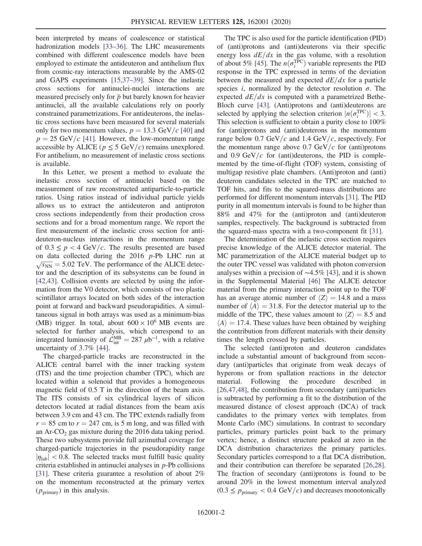been interpreted by means of coalescence or statistical hadronization models [\[33](#page-6-2)–36]. The LHC measurements combined with different coalescence models have been employed to estimate the antideuteron and antihelium flux from cosmic-ray interactions measurable by the AMS-02 and GAPS experiments [\[15,37](#page-5-10)–39]. Since the inelastic cross sections for antinuclei-nuclei interactions are measured precisely only for  $\bar{p}$  but barely known for heavier antinuclei, all the available calculations rely on poorly constrained parametrizations. For antideuterons, the inelastic cross sections have been measured for several materials only for two momentum values,  $p = 13.3$  GeV/c [\[40\]](#page-6-3) and  $p = 25$  GeV/c [\[41\].](#page-6-4) However, the low-momentum range accessible by ALICE ( $p \leq 5$  GeV/c) remains unexplored. For antihelium, no measurement of inelastic cross sections is available.

In this Letter, we present a method to evaluate the inelastic cross section of antinuclei based on the measurement of raw reconstructed antiparticle-to-particle ratios. Using ratios instead of individual particle yields allows us to extract the antideuteron and antiproton cross sections independently from their production cross sections and for a broad momentum range. We report the first measurement of the inelastic cross section for antideuteron-nucleus interactions in the momentum range of  $0.3 \leq p < 4$  GeV/c. The results presented are based on data collected during the 2016 p-Pb LHC run at  $\sqrt{s_{NN}}$  = 5.02 TeV. The performance of the ALICE detector and the description of its subsystems can be found in [\[42,43\]](#page-6-5). Collision events are selected by using the information from the V0 detector, which consists of two plastic scintillator arrays located on both sides of the interaction point at forward and backward pseudorapidities. A simultaneous signal in both arrays was used as a minimum-bias (MB) trigger. In total, about  $600 \times 10^6$  MB events are selected for further analysis, which correspond to an integrated luminosity of  $\mathcal{L}_{int}^{MB} = 287 \ \mu b^{-1}$ , with a relative uncertainty of 3.7% [\[44\]](#page-6-6).

The charged-particle tracks are reconstructed in the ALICE central barrel with the inner tracking system (ITS) and the time projection chamber (TPC), which are located within a solenoid that provides a homogeneous magnetic field of 0.5 T in the direction of the beam axis. The ITS consists of six cylindrical layers of silicon detectors located at radial distances from the beam axis between 3.9 cm and 43 cm. The TPC extends radially from  $r = 85$  cm to  $r = 247$  cm, is 5 m long, and was filled with an  $Ar$ - $CO<sub>2</sub>$  gas mixture during the 2016 data taking period. These two subsystems provide full azimuthal coverage for charged-particle trajectories in the pseudorapidity range  $|\eta_{\rm lab}|$  < 0.8. The selected tracks must fulfill basic quality criteria established in antinuclei analyses in  $p$ -Pb collisions [\[31\]](#page-6-7). These criteria guarantee a resolution of about 2% on the momentum reconstructed at the primary vertex  $(p_{\text{primary}})$  in this analysis.

The TPC is also used for the particle identification (PID) of (anti)protons and (anti)deuterons via their specific energy loss  $dE/dx$  in the gas volume, with a resolution of about 5% [\[45\].](#page-6-8) The  $n(\sigma_i^{\text{TPC}})$  variable represents the PID response in the TPC expressed in terms of the deviation between the measured and expected  $dE/dx$  for a particle species *i*, normalized by the detector resolution  $\sigma$ . The expected  $dE/dx$  is computed with a parametrized Bethe-Bloch curve [\[43\]](#page-6-9). (Anti)protons and (anti)deuterons are selected by applying the selection criterion  $|n(\sigma_i^{\text{TPC}})| < 3$ . This selection is sufficient to obtain a purity close to 100% for (anti)protons and (anti)deuterons in the momentum range below 0.7 GeV/c and 1.4 GeV/c, respectively. For the momentum range above  $0.7 \text{ GeV}/c$  for (anti)protons and 0.9 GeV/ $c$  for (anti)deuterons, the PID is complemented by the time-of-flight (TOF) system, consisting of multigap resistive plate chambers. (Anti)proton and (anti) deuteron candidates selected in the TPC are matched to TOF hits, and fits to the squared-mass distributions are performed for different momentum intervals [\[31\]](#page-6-7). The PID purity in all momentum intervals is found to be higher than 88% and 47% for the (anti)proton and (anti)deuteron samples, respectively. The background is subtracted from the squared-mass spectra with a two-component fit [\[31\]](#page-6-7).

The determination of the inelastic cross section requires precise knowledge of the ALICE detector material. The MC parametrization of the ALICE material budget up to the outer TPC vessel was validated with photon conversion analyses within a precision of ∼4.5% [\[43\]](#page-6-9), and it is shown in the Supplemental Material [\[46\]](#page-6-10) The ALICE detector material from the primary interaction point up to the TOF has an average atomic number of  $\langle Z \rangle = 14.8$  and a mass number of  $\langle A \rangle = 31.8$ . For the detector material up to the middle of the TPC, these values amount to  $\langle Z \rangle = 8.5$  and  $\langle A \rangle = 17.4$ . These values have been obtained by weighing the contribution from different materials with their density times the length crossed by particles.

The selected (anti)proton and deuteron candidates include a substantial amount of background from secondary (anti)particles that originate from weak decays of hyperons or from spallation reactions in the detector material. Following the procedure described in [\[26,47,48\]](#page-6-1), the contribution from secondary (anti)particles is subtracted by performing a fit to the distribution of the measured distance of closest approach (DCA) of track candidates to the primary vertex with templates from Monte Carlo (MC) simulations. In contrast to secondary particles, primary particles point back to the primary vertex; hence, a distinct structure peaked at zero in the DCA distribution characterizes the primary particles. Secondary particles correspond to a flat DCA distribution, and their contribution can therefore be separated [\[26,28\]](#page-6-1). The fraction of secondary (anti)protons is found to be around 20% in the lowest momentum interval analyzed  $(0.3 \le p_{\text{primary}} < 0.4 \text{ GeV}/c)$  and decreases monotonically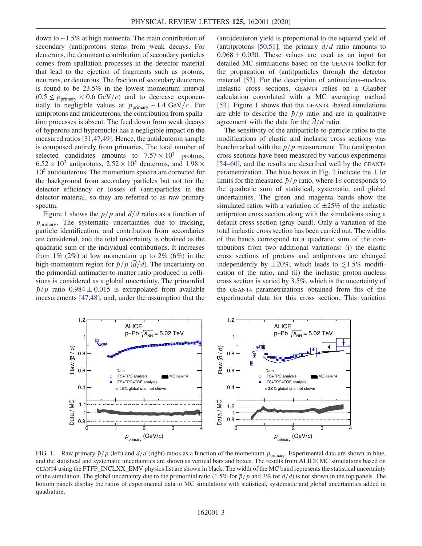down to ∼1.5% at high momenta. The main contribution of secondary (anti)protons stems from weak decays. For deuterons, the dominant contribution of secondary particles comes from spallation processes in the detector material that lead to the ejection of fragments such as protons, neutrons, or deuterons. The fraction of secondary deuterons is found to be 23.5% in the lowest momentum interval  $(0.5 \le p_{\text{primary}} < 0.6 \text{ GeV}/c)$  and to decrease exponentially to negligible values at  $p_{\text{primary}} \sim 1.4 \text{ GeV}/c$ . For antiprotons and antideuterons, the contribution from spallation processes is absent. The feed down from weak decays of hyperons and hypernuclei has a negligible impact on the measured ratios [\[31,47,49\].](#page-6-7) Hence, the antideuteron sample is composed entirely from primaries. The total number of selected candidates amounts to  $7.57 \times 10^7$  protons,  $6.52 \times 10^7$  antiprotons,  $2.52 \times 10^5$  deuterons, and  $1.98 \times$ 105 antideuterons. The momentum spectra are corrected for the background from secondary particles but not for the detector efficiency or losses of (anti)particles in the detector material, so they are referred to as raw primary spectra.

Figure [1](#page-2-0) shows the  $\bar{p}/p$  and  $\bar{d}/d$  ratios as a function of  $p_{\text{primary}}$ . The systematic uncertainties due to tracking, particle identification, and contribution from secondaries are considered, and the total uncertainty is obtained as the quadratic sum of the individual contributions. It increases from  $1\%$  (2%) at low momentum up to 2% (6%) in the high-momentum region for  $\bar{p}/p$  ( $\bar{d}/d$ ). The uncertainty on the primordial antimatter-to-matter ratio produced in collisions is considered as a global uncertainty. The primordial  $\bar{p}/p$  ratio 0.984  $\pm$  0.015 is extrapolated from available measurements [\[47,48\],](#page-6-11) and, under the assumption that the (anti)deuteron yield is proportional to the squared yield of (anti)protons [\[50,51\],](#page-6-12) the primary  $d/d$  ratio amounts to  $0.968 \pm 0.030$ . These values are used as an input for detailed MC simulations based on the GEANT4 toolkit for the propagation of (anti)particles through the detector material [\[52\]](#page-6-13). For the description of antinucleus–nucleus inelastic cross sections, GEANT4 relies on a Glauber calculation convoluted with a MC averaging method [\[53\]](#page-6-14). Figure [1](#page-2-0) shows that the GEANT4 -based simulations are able to describe the  $\bar{p}/p$  ratio and are in qualitative agreement with the data for the  $\overline{d}/d$  ratio.

The sensitivity of the antiparticle-to-particle ratios to the modifications of elastic and inelastic cross sections was benchmarked with the  $\bar{p}/p$  measurement. The (anti)proton cross sections have been measured by various experiments [\[54](#page-6-15)–60], and the results are described well by the GEANT4 parametrization. The blue boxes in Fig. [2](#page-3-0) indicate the  $\pm 1\sigma$ limits for the measured  $\bar{p}/p$  ratio, where  $1\sigma$  corresponds to the quadratic sum of statistical, systematic, and global uncertainties. The green and magenta bands show the simulated ratios with a variation of  $\pm 25\%$  of the inelastic antiproton cross section along with the simulations using a default cross section (gray band). Only a variation of the total inelastic cross section has been carried out. The widths of the bands correspond to a quadratic sum of the contributions from two additional variations: (i) the elastic cross sections of protons and antiprotons are changed independently by  $\pm 20\%$ , which leads to  $\lesssim 1.5\%$  modification of the ratio, and (ii) the inelastic proton-nucleus cross section is varied by 3.5%, which is the uncertainty of the GEANT4 parametrizations obtained from fits of the experimental data for this cross section. This variation

<span id="page-2-0"></span>

FIG. 1. Raw primary  $\bar{p}/p$  (left) and  $\bar{d}/d$  (right) ratios as a function of the momentum  $p_{\text{primary}}$ . Experimental data are shown in blue, and the statistical and systematic uncertainties are shown as vertical bars and boxes. The results from ALICE MC simulations based on GEANT4 using the FTFP\_INCLXX\_EMV physics list are shown in black. The width of the MC band represents the statistical uncertainty of the simulation. The global uncertainty due to the primordial ratio (1.5% for  $\bar{p}/p$  and 3% for  $\bar{d}/d$ ) is not shown in the top panels. The bottom panels display the ratios of experimental data to MC simulations with statistical, systematic and global uncertainties added in quadrature.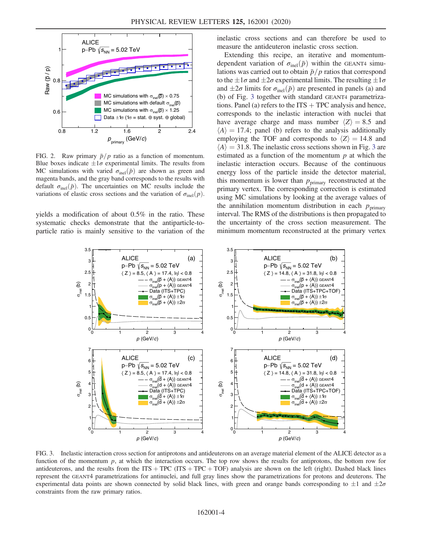<span id="page-3-0"></span>

FIG. 2. Raw primary  $\bar{p}/p$  ratio as a function of momentum. Blue boxes indicate  $\pm 1\sigma$  experimental limits. The results from MC simulations with varied  $\sigma_{\text{inel}}(\bar{p})$  are shown as green and magenta bands, and the gray band corresponds to the results with default  $\sigma_{\text{inel}}(\bar{p})$ . The uncertainties on MC results include the variations of elastic cross sections and the variation of  $\sigma_{\text{inel}}(p)$ .

yields a modification of about 0.5% in the ratio. These systematic checks demonstrate that the antiparticle-toparticle ratio is mainly sensitive to the variation of the inelastic cross sections and can therefore be used to measure the antideuteron inelastic cross section.

Extending this recipe, an iterative and momentumdependent variation of  $\sigma_{\text{inel}}(\bar{p})$  within the GEANT4 simulations was carried out to obtain  $\bar{p}/p$  ratios that correspond to the  $\pm 1\sigma$  and  $\pm 2\sigma$  experimental limits. The resulting  $\pm 1\sigma$ and  $\pm 2\sigma$  limits for  $\sigma_{\text{inel}}(\bar{p})$  are presented in panels (a) and (b) of Fig. [3](#page-3-1) together with standard GEANT4 parametrizations. Panel (a) refers to the  $ITS + TPC$  analysis and hence, corresponds to the inelastic interaction with nuclei that have average charge and mass number  $\langle Z \rangle = 8.5$  and  $\langle A \rangle = 17.4$ ; panel (b) refers to the analysis additionally employing the TOF and corresponds to  $\langle Z \rangle = 14.8$  and  $\langle A \rangle = 31.8$  $\langle A \rangle = 31.8$  $\langle A \rangle = 31.8$ . The inelastic cross sections shown in Fig. 3 are estimated as a function of the momentum  $p$  at which the inelastic interaction occurs. Because of the continuous energy loss of the particle inside the detector material, this momentum is lower than  $p_{\text{primary}}$  reconstructed at the primary vertex. The corresponding correction is estimated using MC simulations by looking at the average values of the annihilation momentum distribution in each  $p_{\text{primary}}$ interval. The RMS of the distributions is then propagated to the uncertainty of the cross section measurement. The minimum momentum reconstructed at the primary vertex

<span id="page-3-1"></span>

FIG. 3. Inelastic interaction cross section for antiprotons and antideuterons on an average material element of the ALICE detector as a function of the momentum  $p$ , at which the interaction occurs. The top row shows the results for antiprotons, the bottom row for antideuterons, and the results from the ITS + TPC (ITS + TPC + TOF) analysis are shown on the left (right). Dashed black lines represent the GEANT4 parametrizations for antinuclei, and full gray lines show the parametrizations for protons and deuterons. The experimental data points are shown connected by solid black lines, with green and orange bands corresponding to  $\pm 1$  and  $\pm 2\sigma$ constraints from the raw primary ratios.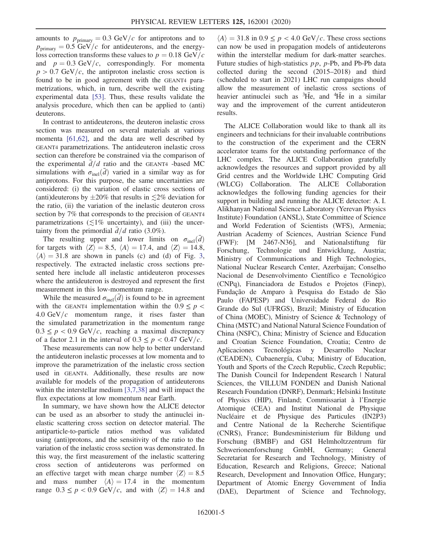amounts to  $p_{\text{primary}} = 0.3 \text{ GeV}/c$  for antiprotons and to  $p_{\text{primary}} = 0.5 \text{ GeV}/c$  for antideuterons, and the energyloss correction transforms these values to  $p = 0.18 \text{ GeV}/c$ and  $p = 0.3 \text{ GeV}/c$ , correspondingly. For momenta  $p > 0.7$  GeV/c, the antiproton inelastic cross section is found to be in good agreement with the GEANT4 parametrizations, which, in turn, describe well the existing experimental data [\[53\]](#page-6-14). Thus, these results validate the analysis procedure, which then can be applied to (anti) deuterons.

In contrast to antideuterons, the deuteron inelastic cross section was measured on several materials at various momenta [\[61,62\]](#page-7-0), and the data are well described by GEANT4 parametrizations. The antideuteron inelastic cross section can therefore be constrained via the comparison of the experimental  $\overline{d}/d$  ratio and the GEANT4 -based MC simulations with  $\sigma_{\text{inel}}(\bar{d})$  varied in a similar way as for antiprotons. For this purpose, the same uncertainties are considered: (i) the variation of elastic cross sections of (anti)deuterons by  $\pm 20\%$  that results in  $\leq 2\%$  deviation for the ratio, (ii) the variation of the inelastic deuteron cross section by 7% that corresponds to the precision of GEANT4 parametrizations ( $\lesssim$ 1% uncertainty), and (iii) the uncertainty from the primordial  $d/d$  ratio (3.0%).

The resulting upper and lower limits on  $\sigma_{\text{inel}}(\bar{d})$ for targets with  $\langle Z \rangle = 8.5$ ,  $\langle A \rangle = 17.4$ , and  $\langle Z \rangle = 14.8$ ,  $\langle A \rangle = 31.8$  $\langle A \rangle = 31.8$  $\langle A \rangle = 31.8$  are shown in panels (c) and (d) of Fig. 3, respectively. The extracted inelastic cross sections presented here include all inelastic antideuteron processes where the antideuteron is destroyed and represent the first measurement in this low-momentum range.

While the measured  $\sigma_{\text{inel}}(\bar{d})$  is found to be in agreement with the GEANT4 implementation within the  $0.9 \le p <$ 4.0 GeV/ $c$  momentum range, it rises faster than the simulated parametrization in the momentum range  $0.3 \leq p < 0.9$  GeV/c, reaching a maximal discrepancy of a factor 2.1 in the interval of  $0.3 \leq p < 0.47$  GeV/c.

These measurements can now help to better understand the antideuteron inelastic processes at low momenta and to improve the parametrization of the inelastic cross section used in GEANT4. Additionally, these results are now available for models of the propagation of antideuterons within the interstellar medium [\[3,7,38\]](#page-5-7) and will impact the flux expectations at low momentum near Earth.

In summary, we have shown how the ALICE detector can be used as an absorber to study the antinuclei inelastic scattering cross section on detector material. The antiparticle-to-particle ratios method was validated using (anti)protons, and the sensitivity of the ratio to the variation of the inelastic cross section was demonstrated. In this way, the first measurement of the inelastic scattering cross section of antideuterons was performed on an effective target with mean charge number  $\langle Z \rangle = 8.5$ and mass number  $\langle A \rangle = 17.4$  in the momentum range  $0.3 \le p < 0.9$  GeV/c, and with  $\langle Z \rangle = 14.8$  and

 $\langle A \rangle = 31.8$  in  $0.9 \le p < 4.0$  GeV/c. These cross sections can now be used in propagation models of antideuterons within the interstellar medium for dark-matter searches. Future studies of high-statistics pp, p-Pb, and Pb-Pb data collected during the second (2015–2018) and third (scheduled to start in 2021) LHC run campaigns should allow the measurement of inelastic cross sections of heavier antinuclei such as <sup>3</sup>He, and <sup>4</sup>He in a similar way and the improvement of the current antideuteron results.

The ALICE Collaboration would like to thank all its engineers and technicians for their invaluable contributions to the construction of the experiment and the CERN accelerator teams for the outstanding performance of the LHC complex. The ALICE Collaboration gratefully acknowledges the resources and support provided by all Grid centres and the Worldwide LHC Computing Grid (WLCG) Collaboration. The ALICE Collaboration acknowledges the following funding agencies for their support in building and running the ALICE detector: A. I. Alikhanyan National Science Laboratory (Yerevan Physics Institute) Foundation (ANSL), State Committee of Science and World Federation of Scientists (WFS), Armenia; Austrian Academy of Sciences, Austrian Science Fund (FWF): [M 2467-N36], and Nationalstiftung für Forschung, Technologie und Entwicklung, Austria; Ministry of Communications and High Technologies, National Nuclear Research Center, Azerbaijan; Conselho Nacional de Desenvolvimento Científico e Tecnológico (CNPq), Financiadora de Estudos e Projetos (Finep), Fundação de Amparo à Pesquisa do Estado de São Paulo (FAPESP) and Universidade Federal do Rio Grande do Sul (UFRGS), Brazil; Ministry of Education of China (MOEC), Ministry of Science & Technology of China (MSTC) and National Natural Science Foundation of China (NSFC), China; Ministry of Science and Education and Croatian Science Foundation, Croatia; Centro de Aplicaciones Tecnológicas y Desarrollo Nuclear (CEADEN), Cubaenergía, Cuba; Ministry of Education, Youth and Sports of the Czech Republic, Czech Republic; The Danish Council for Independent Research | Natural Sciences, the VILLUM FONDEN and Danish National Research Foundation (DNRF), Denmark; Helsinki Institute of Physics (HIP), Finland; Commissariat `a l'Energie Atomique (CEA) and Institut National de Physique Nucléaire et de Physique des Particules (IN2P3) and Centre National de la Recherche Scientifique (CNRS), France; Bundesministerium für Bildung und Forschung (BMBF) and GSI Helmholtzzentrum für Schwerionenforschung GmbH, Germany; General Secretariat for Research and Technology, Ministry of Education, Research and Religions, Greece; National Research, Development and Innovation Office, Hungary; Department of Atomic Energy Government of India (DAE), Department of Science and Technology,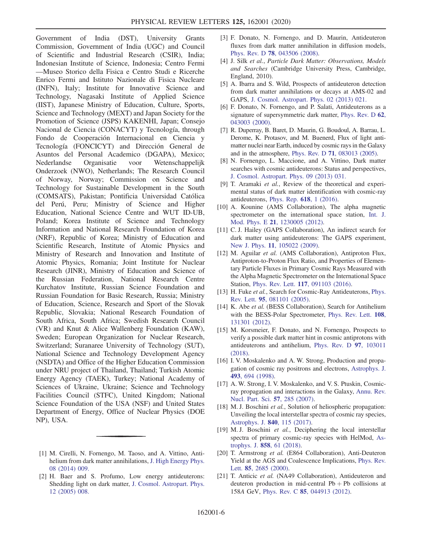Government of India (DST), University Grants Commission, Government of India (UGC) and Council of Scientific and Industrial Research (CSIR), India; Indonesian Institute of Science, Indonesia; Centro Fermi —Museo Storico della Fisica e Centro Studi e Ricerche Enrico Fermi and Istituto Nazionale di Fisica Nucleare (INFN), Italy; Institute for Innovative Science and Technology, Nagasaki Institute of Applied Science (IIST), Japanese Ministry of Education, Culture, Sports, Science and Technology (MEXT) and Japan Society for the Promotion of Science (JSPS) KAKENHI, Japan; Consejo Nacional de Ciencia (CONACYT) y Tecnología, through Fondo de Cooperación Internacional en Ciencia y Tecnología (FONCICYT) and Dirección General de Asuntos del Personal Academico (DGAPA), Mexico; Nederlandse Organisatie voor Wetenschappelijk Onderzoek (NWO), Netherlands; The Research Council of Norway, Norway; Commission on Science and Technology for Sustainable Development in the South (COMSATS), Pakistan; Pontificia Universidad Católica del Perú, Peru; Ministry of Science and Higher Education, National Science Centre and WUT ID-UB, Poland; Korea Institute of Science and Technology Information and National Research Foundation of Korea (NRF), Republic of Korea; Ministry of Education and Scientific Research, Institute of Atomic Physics and Ministry of Research and Innovation and Institute of Atomic Physics, Romania; Joint Institute for Nuclear Research (JINR), Ministry of Education and Science of the Russian Federation, National Research Centre Kurchatov Institute, Russian Science Foundation and Russian Foundation for Basic Research, Russia; Ministry of Education, Science, Research and Sport of the Slovak Republic, Slovakia; National Research Foundation of South Africa, South Africa; Swedish Research Council (VR) and Knut & Alice Wallenberg Foundation (KAW), Sweden; European Organization for Nuclear Research, Switzerland; Suranaree University of Technology (SUT), National Science and Technology Development Agency (NSDTA) and Office of the Higher Education Commission under NRU project of Thailand, Thailand; Turkish Atomic Energy Agency (TAEK), Turkey; National Academy of Sciences of Ukraine, Ukraine; Science and Technology Facilities Council (STFC), United Kingdom; National Science Foundation of the USA (NSF) and United States Department of Energy, Office of Nuclear Physics (DOE NP), USA.

- <span id="page-5-7"></span>[3] F. Donato, N. Fornengo, and D. Maurin, Antideuteron fluxes from dark matter annihilation in diffusion models, Phys. Rev. D 78[, 043506 \(2008\)](https://doi.org/10.1103/PhysRevD.78.043506).
- [4] J. Silk et al., Particle Dark Matter: Observations, Models and Searches (Cambridge University Press, Cambridge, England, 2010).
- [5] A. Ibarra and S. Wild, Prospects of antideuteron detection from dark matter annihilations or decays at AMS-02 and GAPS, [J. Cosmol. Astropart. Phys. 02 \(2013\) 021.](https://doi.org/10.1088/1475-7516/2013/02/021)
- [6] F. Donato, N. Fornengo, and P. Salati, Antideuterons as a signature of supersymmetric dark matter, [Phys. Rev. D](https://doi.org/10.1103/PhysRevD.62.043003) 62, [043003 \(2000\).](https://doi.org/10.1103/PhysRevD.62.043003)
- <span id="page-5-2"></span>[7] R. Duperray, B. Baret, D. Maurin, G. Boudoul, A. Barrau, L. Derome, K. Protasov, and M. Buenerd, Flux of light antimatter nuclei near Earth, induced by cosmic rays in the Galaxy and in the atmosphere, Phys. Rev. D 71[, 083013 \(2005\).](https://doi.org/10.1103/PhysRevD.71.083013)
- [8] N. Fornengo, L. Maccione, and A. Vittino, Dark matter searches with cosmic antideuterons: Status and perspectives, [J. Cosmol. Astropart. Phys. 09 \(2013\) 031.](https://doi.org/10.1088/1475-7516/2013/09/031)
- [9] T. Aramaki et al., Review of the theoretical and experimental status of dark matter identification with cosmic-ray antideuterons, [Phys. Rep.](https://doi.org/10.1016/j.physrep.2016.01.002) 618, 1 (2016).
- <span id="page-5-3"></span>[10] A. Kounine (AMS Collaboration), The alpha magnetic spectrometer on the international space station, [Int. J.](https://doi.org/10.1142/S0218301312300056) Mod. Phys. E 21[, 1230005 \(2012\).](https://doi.org/10.1142/S0218301312300056)
- <span id="page-5-4"></span>[11] C. J. Hailey (GAPS Collaboration), An indirect search for dark matter using antideuterons: The GAPS experiment, New J. Phys. **11**[, 105022 \(2009\)](https://doi.org/10.1088/1367-2630/11/10/105022).
- <span id="page-5-5"></span>[12] M. Aguilar et al. (AMS Collaboration), Antiproton Flux, Antiproton-to-Proton Flux Ratio, and Properties of Elementary Particle Fluxes in Primary Cosmic Rays Measured with the Alpha Magnetic Spectrometer on the International Space Station, Phys. Rev. Lett. 117[, 091103 \(2016\)](https://doi.org/10.1103/PhysRevLett.117.091103).
- <span id="page-5-6"></span>[13] H. Fuke et al., Search for Cosmic-Ray Antideuterons, [Phys.](https://doi.org/10.1103/PhysRevLett.95.081101) Rev. Lett. 95[, 081101 \(2005\).](https://doi.org/10.1103/PhysRevLett.95.081101)
- [14] K. Abe et al. (BESS Collaboration), Search for Antihelium with the BESS-Polar Spectrometer, [Phys. Rev. Lett.](https://doi.org/10.1103/PhysRevLett.108.131301) 108, [131301 \(2012\).](https://doi.org/10.1103/PhysRevLett.108.131301)
- <span id="page-5-10"></span>[15] M. Korsmeier, F. Donato, and N. Fornengo, Prospects to verify a possible dark matter hint in cosmic antiprotons with antideuterons and antihelium, [Phys. Rev. D](https://doi.org/10.1103/PhysRevD.97.103011) 97, 103011 [\(2018\).](https://doi.org/10.1103/PhysRevD.97.103011)
- <span id="page-5-8"></span>[16] I. V. Moskalenko and A. W. Strong, Production and propagation of cosmic ray positrons and electrons, [Astrophys. J.](https://doi.org/10.1086/305152) 493[, 694 \(1998\)](https://doi.org/10.1086/305152).
- [17] A. W. Strong, I. V. Moskalenko, and V. S. Ptuskin, Cosmicray propagation and interactions in the Galaxy, [Annu. Rev.](https://doi.org/10.1146/annurev.nucl.57.090506.123011) [Nucl. Part. Sci.](https://doi.org/10.1146/annurev.nucl.57.090506.123011) 57, 285 (2007).
- [18] M. J. Boschini et al., Solution of heliospheric propagation: Unveiling the local interstellar spectra of cosmic ray species, [Astrophys. J.](https://doi.org/10.3847/1538-4357/aa6e4f) 840, 115 (2017).
- [19] M. J. Boschini et al., Deciphering the local interstellar spectra of primary cosmic-ray species with HelMod, [As](https://doi.org/10.3847/1538-4357/aabc54)trophys. J. 858[, 61 \(2018\)](https://doi.org/10.3847/1538-4357/aabc54).
- <span id="page-5-9"></span>[20] T. Armstrong et al. (E864 Collaboration), Anti-Deuteron Yield at the AGS and Coalescence Implications, [Phys. Rev.](https://doi.org/10.1103/PhysRevLett.85.2685) Lett. 85[, 2685 \(2000\)](https://doi.org/10.1103/PhysRevLett.85.2685).
- [21] T. Anticic et al. (NA49 Collaboration), Antideuteron and deuteron production in mid-central  $Pb + Pb$  collisions at 158A GeV, Phys. Rev. C 85[, 044913 \(2012\).](https://doi.org/10.1103/PhysRevC.85.044913)

<span id="page-5-0"></span><sup>[1]</sup> M. Cirelli, N. Fornengo, M. Taoso, and A. Vittino, Antihelium from dark matter annihilations, [J. High Energy Phys.](https://doi.org/10.1007/JHEP08(2014)009) [08 \(2014\) 009.](https://doi.org/10.1007/JHEP08(2014)009)

<span id="page-5-1"></span><sup>[2]</sup> H. Baer and S. Profumo, Low energy antideuterons: Shedding light on dark matter, [J. Cosmol. Astropart. Phys.](https://doi.org/10.1088/1475-7516/2005/12/008) [12 \(2005\) 008.](https://doi.org/10.1088/1475-7516/2005/12/008)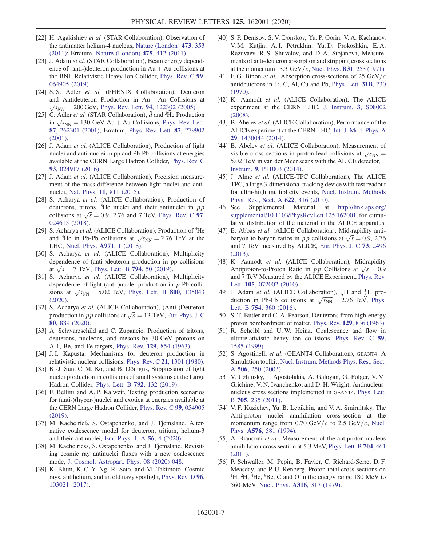- <span id="page-6-0"></span>[22] H. Agakishiev et al. (STAR Collaboration), Observation of the antimatter helium-4 nucleus, [Nature \(London\)](https://doi.org/10.1038/nature10079) 473, 353 [\(2011\);](https://doi.org/10.1038/nature10079) Erratum, [Nature \(London\)](https://doi.org/10.1038/nature10264) 475, 412 (2011).
- [23] J. Adam et al. (STAR Collaboration), Beam energy dependence of (anti-)deuteron production in  $Au + Au$  collisions at the BNL Relativistic Heavy Ion Collider, [Phys. Rev. C](https://doi.org/10.1103/PhysRevC.99.064905) 99, [064905 \(2019\).](https://doi.org/10.1103/PhysRevC.99.064905)
- [24] S. S. Adler et al. (PHENIX Collaboration), Deuteron and Antideuteron Production in  $Au + Au$  Collisions at  $\sqrt{s_{NN}}$  = 200 GeV, Phys. Rev. Lett. **94**[, 122302 \(2005\).](https://doi.org/10.1103/PhysRevLett.94.122302)
- [25] C. Adler et al. (STAR Collaboration),  $\overline{d}$  and <sup>3</sup>He Production C. Adler *et al.* (STAR Collaboration), *a* and <sup>2</sup> He Production<br>in  $\sqrt{s_{NN}} = 130 \text{ GeV}$  Au + Au Collisions, [Phys. Rev. Lett.](https://doi.org/10.1103/PhysRevLett.87.262301) 87[, 262301 \(2001\)](https://doi.org/10.1103/PhysRevLett.87.262301); Erratum, [Phys. Rev. Lett.](https://doi.org/10.1103/PhysRevLett.87.279902) 87, 279902 [\(2001\).](https://doi.org/10.1103/PhysRevLett.87.279902)
- <span id="page-6-1"></span>[26] J. Adam et al. (ALICE Collaboration), Production of light nuclei and anti-nuclei in pp and Pb-Pb collisions at energies available at the CERN Large Hadron Collider, [Phys. Rev. C](https://doi.org/10.1103/PhysRevC.93.024917) 93[, 024917 \(2016\).](https://doi.org/10.1103/PhysRevC.93.024917)
- [27] J. Adam et al. (ALICE Collaboration), Precision measurement of the mass difference between light nuclei and antinuclei, Nat. Phys. 11[, 811 \(2015\).](https://doi.org/10.1038/nphys3432)
- [28] S. Acharya et al. (ALICE Collaboration), Production of deuterons, tritons,  ${}^{3}$ He nuclei and their antinuclei in pp deuterons, tritons, <sup>9</sup>He nuclei and their antinuclei in *pp* collisions at  $\sqrt{s} = 0.9$ , 2.76 and 7 TeV, [Phys. Rev. C](https://doi.org/10.1103/PhysRevC.97.024615) **97**, [024615 \(2018\).](https://doi.org/10.1103/PhysRevC.97.024615)
- [29] S. Acharya et al. (ALICE Collaboration), Production of <sup>4</sup>He S. Acharya *et al.* (ALICE Collaboration), Production of The and <sup>4</sup>He in Pb-Pb collisions at  $\sqrt{s_{NN}} = 2.76$  TeV at the LHC, [Nucl. Phys.](https://doi.org/10.1016/j.nuclphysa.2017.12.004) A971, 1 (2018).
- [30] S. Acharya et al. (ALICE Collaboration), Multiplicity dependence of (anti-)deuteron production in pp collisions dependence of (anti-)deuteron production in p<br>at  $\sqrt{s} = 7$  TeV, [Phys. Lett. B](https://doi.org/10.1016/j.physletb.2019.05.028) **794**, 50 (2019).
- <span id="page-6-7"></span>[31] S. Acharya et al. (ALICE Collaboration), Multiplicity dependence of light (anti-)nuclei production in p-Pb collidependence of light (anti-)nuclei production in *p*-Pb collisions at  $\sqrt{s_{NN}} = 5.02$  TeV, [Phys. Lett. B](https://doi.org/10.1016/j.physletb.2019.135043) **800**, 135043 [\(2020\).](https://doi.org/10.1016/j.physletb.2019.135043)
- [32] S. Acharya et al. (ALICE Collaboration), (Anti-)Deuteron S. Acharya *et al.* (ALICE Collaboration), (Anti-)Deuteron production in *p p* collisions at  $\sqrt{s} = 13$  TeV, [Eur. Phys. J. C](https://doi.org/10.1140/epjc/s10052-020-8256-4) 80[, 889 \(2020\).](https://doi.org/10.1140/epjc/s10052-020-8256-4)
- <span id="page-6-2"></span>[33] A. Schwarzschild and C. Zupancic, Production of tritons, deuterons, nucleons, and mesons by 30-GeV protons on A-1, Be, and Fe targets, Phys. Rev. 129[, 854 \(1963\).](https://doi.org/10.1103/PhysRev.129.854)
- [34] J. I. Kapusta, Mechanisms for deuteron production in relativistic nuclear collisions, Phys. Rev. C 21[, 1301 \(1980\).](https://doi.org/10.1103/PhysRevC.21.1301)
- [35] K.-J. Sun, C. M. Ko, and B. Dönigus, Suppression of light nuclei production in collisions of small systems at the Large Hadron Collider, [Phys. Lett. B](https://doi.org/10.1016/j.physletb.2019.03.033) 792, 132 (2019).
- [36] F. Bellini and A. P. Kalweit, Testing production scenarios for (anti-)(hyper-)nuclei and exotica at energies available at the CERN Large Hadron Collider, [Phys. Rev. C](https://doi.org/10.1103/PhysRevC.99.054905) 99, 054905 [\(2019\).](https://doi.org/10.1103/PhysRevC.99.054905)
- [37] M. Kachelrieß, S. Ostapchenko, and J. Tjemsland, Alternative coalescence model for deuteron, tritium, helium-3 and their antinuclei, [Eur. Phys. J. A](https://doi.org/10.1140/epja/s10050-019-00007-9) 56, 4 (2020).
- [38] M. Kachelriess, S. Ostapchenko, and J. Tjemsland, Revisiting cosmic ray antinuclei fluxes with a new coalescence mode, [J. Cosmol. Astropart. Phys. 08 \(2020\) 048.](https://doi.org/10.1088/1475-7516/2020/08/048)
- [39] K. Blum, K. C. Y. Ng, R. Sato, and M. Takimoto, Cosmic rays, antihelium, and an old navy spotlight, [Phys. Rev. D](https://doi.org/10.1103/PhysRevD.96.103021) 96, [103021 \(2017\).](https://doi.org/10.1103/PhysRevD.96.103021)
- <span id="page-6-3"></span>[40] S. P. Denisov, S. V. Donskov, Yu. P. Gorin, V. A. Kachanov, V. M. Kutjin, A. I. Petrukhin, Yu. D. Prokoshkin, E. A. Razuvaev, R. S. Shuvalov, and D. A. Stojanova, Measurements of anti-deuteron absorption and stripping cross sections at the momentum 13.3 GeV/c, Nucl. Phys. **B31**[, 253 \(1971\).](https://doi.org/10.1016/0550-3213(71)90229-X)
- <span id="page-6-4"></span>[41] F. G. Binon et al., Absorption cross-sections of 25  $GeV/c$ antideuterons in Li, C, Al, Cu and Pb, [Phys. Lett.](https://doi.org/10.1016/0370-2693(70)90112-7) 31B, 230 [\(1970\).](https://doi.org/10.1016/0370-2693(70)90112-7)
- <span id="page-6-5"></span>[42] K. Aamodt et al. (ALICE Collaboration), The ALICE experiment at the CERN LHC, [J. Instrum.](https://doi.org/10.1088/1748-0221/3/08/s08002) 3, S08002 [\(2008\).](https://doi.org/10.1088/1748-0221/3/08/s08002)
- <span id="page-6-9"></span>[43] B. Abelev et al. (ALICE Collaboration), Performance of the ALICE experiment at the CERN LHC, [Int. J. Mod. Phys. A](https://doi.org/10.1142/S0217751X14300440) 29[, 1430044 \(2014\).](https://doi.org/10.1142/S0217751X14300440)
- <span id="page-6-6"></span>[44] B. Abelev et al. (ALICE Collaboration), Measurement of B. Abelev *et al.* (ALICE Collaboration), Measurement or visible cross sections in proton-lead collisions at  $\sqrt{s_{NN}}$ 5.02 TeV in van der Meer scans with the ALICE detector, [J.](https://doi.org/10.1088/1748-0221/9/11/P11003) Instrum. 9[, P11003 \(2014\).](https://doi.org/10.1088/1748-0221/9/11/P11003)
- <span id="page-6-8"></span>[45] J. Alme et al. (ALICE-TPC Collaboration), The ALICE TPC, a large 3-dimensional tracking device with fast readout for ultra-high multiplicity events, [Nucl. Instrum. Methods](https://doi.org/10.1016/j.nima.2010.04.042) [Phys. Res., Sect. A](https://doi.org/10.1016/j.nima.2010.04.042) 622, 316 (2010).
- <span id="page-6-10"></span>[46] See Supplemental Material at [http://link.aps.org/](http://link.aps.org/supplemental/10.1103/PhysRevLett.125.162001) [supplemental/10.1103/PhysRevLett.125.162001](http://link.aps.org/supplemental/10.1103/PhysRevLett.125.162001) for cumulative distribution of the material in the ALICE apparatus.
- <span id="page-6-11"></span>[47] E. Abbas et al. (ALICE Collaboration), Mid-rapidity anti-E. Abbas *et al.* (ALICE Collaboration), Mid-rapidity anti-<br>baryon to baryon ratios in *pp* collisions at  $\sqrt{s} = 0.9, 2.76$ and 7 TeV measured by ALICE, [Eur. Phys. J. C](https://doi.org/10.1140/epjc/s10052-013-2496-5) 73, 2496 [\(2013\).](https://doi.org/10.1140/epjc/s10052-013-2496-5)
- [48] K. Aamodt et al. (ALICE Collaboration), Midrapidity K. Aamodt *et al.* (ALICE Collaboration), Midrapidity<br>Antiproton-to-Proton Ratio in *pp* Collisions at  $\sqrt{s} = 0.9$ and 7 TeV Measured by the ALICE Experiment, [Phys. Rev.](https://doi.org/10.1103/PhysRevLett.105.072002) Lett. 105[, 072002 \(2010\)](https://doi.org/10.1103/PhysRevLett.105.072002).
- [49] J. Adam et al. (ALICE Collaboration),  $^{3}_{\Lambda}H$  and  $^{3}_{\Lambda}\bar{H}$  pro-J. Adam *et al.* (ALICE Collaboration),  $\hat{A}H$  and  $\hat{A}H$  production in Pb-Pb collisions at  $\sqrt{s_{NN}} = 2.76$  TeV, [Phys.](https://doi.org/10.1016/j.physletb.2016.01.040) Lett. B 754[, 360 \(2016\).](https://doi.org/10.1016/j.physletb.2016.01.040)
- <span id="page-6-12"></span>[50] S. T. Butler and C. A. Pearson, Deuterons from high-energy proton bombardment of matter, Phys. Rev. 129[, 836 \(1963\).](https://doi.org/10.1103/PhysRev.129.836)
- [51] R. Scheibl and U. W. Heinz, Coalescence and flow in ultrarelativistic heavy ion collisions, [Phys. Rev. C](https://doi.org/10.1103/PhysRevC.59.1585) 59, [1585 \(1999\)](https://doi.org/10.1103/PhysRevC.59.1585).
- <span id="page-6-13"></span>[52] S. Agostinelli et al. (GEANT4 Collaboration), GEANT4: A Simulation toolkit, [Nucl. Instrum. Methods Phys. Res., Sect.](https://doi.org/10.1016/S0168-9002(03)01368-8) A 506[, 250 \(2003\).](https://doi.org/10.1016/S0168-9002(03)01368-8)
- <span id="page-6-14"></span>[53] V. Uzhinsky, J. Apostolakis, A. Galoyan, G. Folger, V. M. Grichine, V. N. Ivanchenko, and D. H. Wright, Antinucleusnucleus cross sections implemented in GEANT4, [Phys. Lett.](https://doi.org/10.1016/j.physletb.2011.10.010) B 705[, 235 \(2011\)](https://doi.org/10.1016/j.physletb.2011.10.010).
- <span id="page-6-15"></span>[54] V. F. Kuzichev, Yu. B. Lepikhin, and V. A. Smirnitsky, The Anti-proton—nuclei annihilation cross-section at the momentum range from 0.70 GeV/c to 2.5 GeV/c, [Nucl.](https://doi.org/10.1016/0375-9474(94)90745-5) Phys. A576[, 581 \(1994\)](https://doi.org/10.1016/0375-9474(94)90745-5).
- [55] A. Bianconi et al., Measurement of the antiproton-nucleus annihilation cross section at 5.3 MeV, [Phys. Lett. B](https://doi.org/10.1016/j.physletb.2011.09.069) 704, 461 [\(2011\).](https://doi.org/10.1016/j.physletb.2011.09.069)
- [56] P. Schwaller, M. Pepin, B. Favier, C. Richard-Serre, D. F. Measday, and P. U. Renberg, Proton total cross-sections on <sup>1</sup>H, <sup>2</sup>H, <sup>4</sup>He, <sup>9</sup>Be, C and O in the energy range 180 MeV to 560 MeV, Nucl. Phys. A316[, 317 \(1979\).](https://doi.org/10.1016/0375-9474(79)90040-X)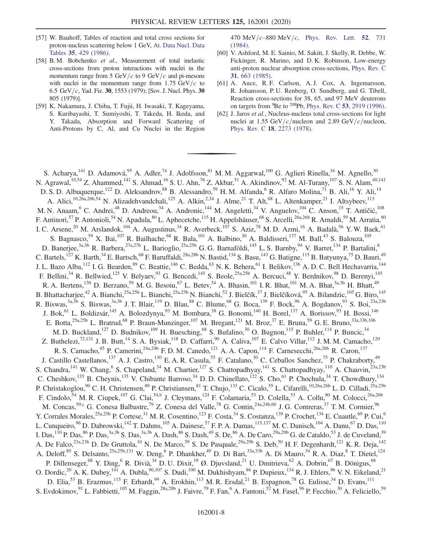- [57] W. Bauhoff, Tables of reaction and total cross sections for proton-nucleus scattering below 1 GeV, [At. Data Nucl. Data](https://doi.org/10.1016/0092-640X(86)90016-1) Tables 35[, 429 \(1986\)](https://doi.org/10.1016/0092-640X(86)90016-1).
- [58] B. M. Bobchenko et al., Measurement of total inelastic cross-sections from proton interactions with nuclei in the momentum range from 5 GeV/c to 9 GeV/c and pi-mesons with nuclei in the momentum range from 1.75  $GeV/c$  to 6.5 GeV/c, Yad. Fiz. 30, 1553 (1979); [Sov. J. Nucl. Phys. 30 805 (1979)].
- [59] K. Nakamura, J. Chiba, T. Fujii, H. Iwasaki, T. Kageyama, S. Kuribayashi, T. Sumiyoshi, T. Takeda, H. Ikeda, and Y. Takada, Absorption and Forward Scattering of Anti-Protons by C, Al, and Cu Nuclei in the Region

470 MeV/c–880 MeV/c, [Phys. Rev. Lett.](https://doi.org/10.1103/PhysRevLett.52.731) 52, 731 [\(1984\).](https://doi.org/10.1103/PhysRevLett.52.731)

- [60] V. Ashford, M. E. Sainio, M. Sakitt, J. Skelly, R. Debbe, W. Fickinger, R. Marino, and D. K. Robinson, Low-energy anti-proton nuclear absorption cross-sections, [Phys. Rev. C](https://doi.org/10.1103/PhysRevC.31.663) 31[, 663 \(1985\).](https://doi.org/10.1103/PhysRevC.31.663)
- <span id="page-7-0"></span>[61] A. Auce, R. F. Carlson, A. J. Cox, A. Ingemarsson, R. Johansson, P. U. Renberg, O. Sundberg, and G. Tibell, Reaction cross-sections for 38, 65, and 97 MeV deuterons on targets from  ${}^{9}$ Be to  ${}^{208}$ Pb, Phys. Rev. C 53[, 2919 \(1996\).](https://doi.org/10.1103/PhysRevC.53.2919)
- [62] J. Jaros et al., Nucleus-nucleus total cross-sections for light nuclei at 1.55 GeV/ $c$ /nucleon and 2.89 GeV/ $c$ /nucleon, Phys. Rev. C 18[, 2273 \(1978\)](https://doi.org/10.1103/PhysRevC.18.2273).

<span id="page-7-2"></span><span id="page-7-1"></span>S. Acharya,  $141$  D. Adamová,  $95$  A. Adler,  $74$  J. Adolfsson,  $81$  M. M. Aggarwal,  $100$  G. Aglieri Rinella,  $34$  M. Agnello,  $30$ N. Agrawal,<sup>10,54</sup> Z. Ahammed,<sup>141</sup> S. Ahmad,<sup>16</sup> S. U. Ahn,<sup>76</sup> Z. Akbar,<sup>51</sup> A. Akindinov,<sup>92</sup> M. Al-Turany,<sup>107</sup> S. N. Alam,<sup>40,141</sup> D. S. D. Albuquerque,<sup>122</sup> D. Aleksandrov,<sup>88</sup> B. Alessandro,<sup>59</sup> H. M. Alfanda,<sup>6</sup> R. Alfaro Molina,<sup>71</sup> B. Ali,<sup>16</sup> Y. Ali,<sup>14</sup> A. Alici,<sup>10,26a,26b,54</sup> N. Alizadehvandchali,<sup>125</sup> A. Alkin,<sup>2,34</sup> J. Alme,<sup>21</sup> T. Alt,<sup>68</sup> L. Altenkamper,<sup>21</sup> I. Altsybeev,<sup>113</sup> M. N. Anaam, <sup>6</sup> C. Andrei, <sup>48</sup> D. Andreou, <sup>34</sup> A. Andronic, <sup>144</sup> M. Angeletti, <sup>34</sup> V. Anguelov, <sup>104</sup> C. Anson, <sup>15</sup> T. Antičić, <sup>108</sup> F. Antinori,<sup>57</sup> P. Antonioli,<sup>54</sup> N. Apadula,<sup>80</sup> L. Aphecetche,<sup>115</sup> H. Appelshäuser,<sup>68</sup> S. Arcelli,<sup>26a,26b</sup> R. Arnaldi,<sup>59</sup> M. Arratia,<sup>80</sup> I. C. Arsene,<sup>20</sup> M. Arslandok,<sup>104</sup> A. Augustinus,<sup>34</sup> R. Averbeck,<sup>107</sup> S. Aziz,<sup>78</sup> M. D. Azmi,<sup>16</sup> A. Badalà,<sup>56</sup> Y. W. Baek,<sup>41</sup> S. Bagnasco,<sup>59</sup> X. Bai,<sup>107</sup> R. Bailhache,<sup>68</sup> R. Bala,<sup>101</sup> A. Balbino,<sup>30</sup> A. Baldisseri,<sup>137</sup> M. Ball,<sup>43</sup> S. Balouza,<sup>105</sup> D. Banerjee,<sup>3a,3b</sup> R. Barbera,<sup>27a,27b</sup> L. Barioglio,<sup>25a,25b</sup> G. G. Barnaföldi,<sup>145</sup> L. S. Barnby,<sup>94</sup> V. Barret,<sup>134</sup> P. Bartalini,<sup>6</sup> C. Bartels,<sup>127</sup> K. Barth,<sup>34</sup> E. Bartsch,<sup>68</sup> F. Baruffaldi,<sup>28a,28b</sup> N. Bastid,<sup>134</sup> S. Basu,<sup>143</sup> G. Batigne,<sup>115</sup> B. Batyunya,<sup>75</sup> D. Bauri,<sup>49</sup> J. L. Bazo Alba, <sup>112</sup> I. G. Bearden, <sup>89</sup> C. Beattie, <sup>146</sup> C. Bedda, <sup>63</sup> N. K. Behera, <sup>61</sup> I. Belikov, <sup>136</sup> A. D. C. Bell Hechavarria, <sup>144</sup> F. Bellini,<sup>34</sup> R. Bellwied,<sup>125</sup> V. Belyaev,<sup>93</sup> G. Bencedi,<sup>145</sup> S. Beole,<sup>25a,25b</sup> A. Bercuci,<sup>48</sup> Y. Berdnikov,<sup>98</sup> D. Berenyi,<sup>145</sup> R. A. Bertens,<sup>130</sup> D. Berzano,<sup>59</sup> M. G. Besoiu,<sup>67</sup> L. Betev,<sup>34</sup> A. Bhasin,<sup>101</sup> I. R. Bhat,<sup>101</sup> M. A. Bhat,<sup>3a,3b</sup> H. Bhatt,<sup>49</sup> B. Bhattacharjee,<sup>42</sup> A. Bianchi,<sup>25a,25b</sup> L. Bianchi,<sup>25a,25b</sup> N. Bianchi,<sup>52</sup> J. Bielčík,<sup>37</sup> J. Bielčíková,<sup>95</sup> A. Bilandzic,<sup>105</sup> G. Biro,<sup>145</sup> R. Biswas,  $3a,3b$  S. Biswas,  $3a,3b$  J. T. Blair,  $^{119}$  D. Blau,  $^{88}$  C. Blume,  $^{68}$  G. Boca,  $^{139}$  F. Bock,  $^{96}$  A. Bogdanov,  $^{93}$  S. Boi,  $^{23a,23b}$ J. Bok,<sup>61</sup> L. Boldizsár,<sup>145</sup> A. Bolozdynya,<sup>93</sup> M. Bombara,<sup>38</sup> G. Bonomi,<sup>140</sup> H. Borel,<sup>137</sup> A. Borissov,<sup>93</sup> H. Bossi,<sup>146</sup> E. Botta,<sup>25a,25b</sup> L. Bratrud,<sup>68</sup> P. Braun-Munzinger,<sup>107</sup> M. Bregant,<sup>121</sup> M. Broz,<sup>37</sup> E. Bruna,<sup>59</sup> G. E. Bruno,<sup>33a,33b,106</sup> M. D. Buckland,<sup>127</sup> D. Budnikov,<sup>109</sup> H. Buesching,<sup>68</sup> S. Bufalino,<sup>30</sup> O. Bugnon,<sup>115</sup> P. Buhler,<sup>114</sup> P. Buncic,<sup>34</sup> Z. Buthelezi,<sup>72,131</sup> J. B. Butt,<sup>14</sup> S. A. Bysiak,<sup>118</sup> D. Caffarri,<sup>90</sup> A. Caliva,<sup>107</sup> E. Calvo Villar,<sup>112</sup> J. M. M. Camacho,<sup>120</sup> R. S. Camacho,<sup>45</sup> P. Camerini,<sup>24a,24b</sup> F. D. M. Canedo,<sup>121</sup> A. A. Capon,<sup>114</sup> F. Carnesecchi,<sup>26a,26b</sup> R. Caron,<sup>137</sup> J. Castillo Castellanos,<sup>137</sup> A. J. Castro,<sup>130</sup> E. A. R. Casula,<sup>55</sup> F. Catalano,<sup>30</sup> C. Ceballos Sanchez,<sup>75</sup> P. Chakraborty,<sup>49</sup> S. Chandra, <sup>141</sup> W. Chang, <sup>6</sup> S. Chapeland, <sup>34</sup> M. Chartier, <sup>127</sup> S. Chattopadhyay, <sup>141</sup> S. Chattopadhyay, <sup>110</sup> A. Chauvin, <sup>23a, 23b</sup> C. Cheshkov,<sup>135</sup> B. Cheynis,<sup>135</sup> V. Chibante Barroso,<sup>34</sup> D. D. Chinellato,<sup>122</sup> S. Cho,<sup>61</sup> P. Chochula,<sup>34</sup> T. Chowdhury,<sup>134</sup> P. Christakoglou,<sup>90</sup> C. H. Christensen,<sup>89</sup> P. Christiansen,<sup>81</sup> T. Chujo,<sup>133</sup> C. Cicalo,<sup>55</sup> L. Cifarelli,<sup>10,26a,26b</sup> L. D. Cilladi,<sup>25a,25b</sup> F. Cindolo,<sup>54</sup> M. R. Ciupek,<sup>107</sup> G. Clai,<sup>54[,b](#page-12-0)</sup> J. Cleymans,<sup>124</sup> F. Colamaria,<sup>53</sup> D. Colella,<sup>53</sup> A. Collu,<sup>80</sup> M. Colocci,<sup>26a,26b</sup> M. Concas,<sup>5[9,c](#page-12-1)</sup> G. Conesa Balbastre,<sup>79</sup> Z. Conesa del Valle,<sup>78</sup> G. Contin,<sup>24a,24b,60</sup> J. G. Contreras,<sup>37</sup> T. M. Cormier,<sup>96</sup> Y. Corrales Morales,<sup>25a,25b</sup> P. Cortese,<sup>31</sup> M. R. Cosentino,<sup>123</sup> F. Costa,<sup>34</sup> S. Costanza,<sup>139</sup> P. Crochet,<sup>134</sup> E. Cuautle,<sup>69</sup> P. Cui,<sup>6</sup> L. Cunqueiro, <sup>96</sup> D. Dabrowski, <sup>142</sup> T. Dahms, <sup>105</sup> A. Dainese, <sup>57</sup> F. P. A. Damas, <sup>115,137</sup> M. C. Danisch, <sup>104</sup> A. Danu, <sup>67</sup> D. Das, <sup>110</sup> I. Das,<sup>110</sup> P. Das,<sup>86</sup> P. Das,<sup>3a,3b</sup> S. Das,<sup>3a,3b</sup> A. Dash,<sup>86</sup> S. Dash,<sup>49</sup> S. De,<sup>86</sup> A. De Caro,<sup>29a,29b</sup> G. de Cataldo,<sup>53</sup> J. de Cuveland,<sup>39</sup> A. De Falco,<sup>23a,23b</sup> D. De Gruttola,<sup>10</sup> N. De Marco,<sup>59</sup> S. De Pasquale,<sup>29a,29b</sup> S. Deb,<sup>50</sup> H. F. Degenhardt,<sup>121</sup> K. R. Deja,<sup>142</sup> A. Deloff,<sup>85</sup> S. Delsanto,<sup>25a,25b,131</sup> W. Deng,<sup>6</sup> P. Dhankher,<sup>49</sup> D. Di Bari,<sup>33a,33b</sup> A. Di Mauro,<sup>34</sup> R. A. Diaz,<sup>8</sup> T. Dietel,<sup>124</sup> P. Dillenseger,<sup>68</sup> Y. Ding,<sup>6</sup> R. Divià,<sup>34</sup> D. U. Dixit,<sup>19</sup> Ø. Djuvsland,<sup>21</sup> U. Dmitrieva,<sup>62</sup> A. Dobrin,<sup>67</sup> B. Dönigus,<sup>68</sup> O. Dordic,<sup>20</sup> A. K. Dubey,<sup>141</sup> A. Dubla,<sup>90,107</sup> S. Dudi,<sup>100</sup> M. Dukhishyam,<sup>86</sup> P. Dupieux,<sup>134</sup> R. J. Ehlers,<sup>96</sup> V. N. Eikeland,<sup>21</sup> D. Elia,<sup>53</sup> B. Erazmus,<sup>115</sup> F. Erhardt,<sup>99</sup> A. Erokhin,<sup>113</sup> M. R. Ersdal,<sup>21</sup> B. Espagnon,<sup>78</sup> G. Eulisse,<sup>34</sup> D. Evans,<sup>111</sup> S. Evdokimov,<sup>91</sup> L. Fabbietti,<sup>105</sup> M. Faggin,<sup>28a,28b</sup> J. Faivre,<sup>79</sup> F. Fan,<sup>6</sup> A. Fantoni,<sup>52</sup> M. Fasel,<sup>96</sup> P. Fecchio,<sup>30</sup> A. Feliciello,<sup>59</sup>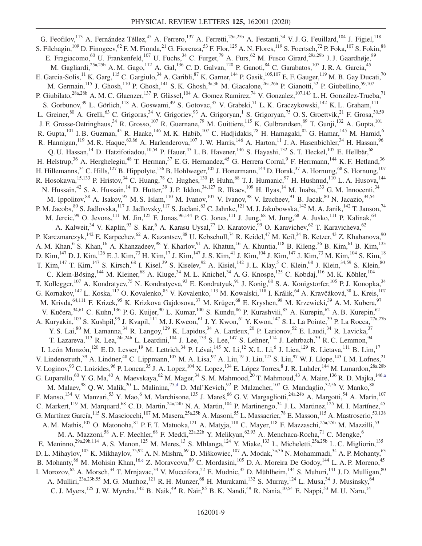<span id="page-8-2"></span><span id="page-8-1"></span><span id="page-8-0"></span>G. Feofilov,<sup>113</sup> A. Fernández Téllez,<sup>45</sup> A. Ferrero,<sup>137</sup> A. Ferretti,<sup>25a,25b</sup> A. Festanti,<sup>34</sup> V. J. G. Feuillard,<sup>104</sup> J. Figiel,<sup>118</sup> S. Filchagin,<sup>109</sup> D. Finogeev,<sup>62</sup> F. M. Fionda,<sup>21</sup> G. Fiorenza,<sup>53</sup> F. Flor,<sup>125</sup> A. N. Flores,<sup>119</sup> S. Foertsch,<sup>72</sup> P. Foka,<sup>107</sup> S. Fokin,<sup>88</sup> E. Fragiacomo,<sup>60</sup> U. Frankenfeld,<sup>107</sup> U. Fuchs,<sup>34</sup> C. Furget,<sup>79</sup> A. Furs,<sup>62</sup> M. Fusco Girard,<sup>29a,29b</sup> J. J. Gaardhøje,<sup>89</sup> M. Gagliardi,<sup>25a,25b</sup> A. M. Gago,<sup>112</sup> A. Gal,<sup>136</sup> C. D. Galvan,<sup>120</sup> P. Ganoti,<sup>84</sup> C. Garabatos,<sup>107</sup> J. R. A. Garcia,<sup>45</sup> E. Garcia-Solis,  $^{11}$  K. Garg,  $^{115}$  C. Gargiulo,  $^{34}$  A. Garibli,  $^{87}$  K. Garner,  $^{144}$  P. Gasik,  $^{105,107}$  E. F. Gauger,  $^{119}$  M. B. Gay Ducati,  $^{70}$ M. Germain,<sup>115</sup> J. Ghosh,<sup>110</sup> P. Ghosh,<sup>141</sup> S. K. Ghosh,<sup>3a,3b</sup> M. Giacalone,<sup>26a,26b</sup> P. Gianotti,<sup>52</sup> P. Giubellino,<sup>59,107</sup> P. Giubilato,<sup>28a,28b</sup> A. M. C. Glaenzer,<sup>137</sup> P. Glässel,<sup>104</sup> A. Gomez Ramirez,<sup>74</sup> V. Gonzalez,<sup>107,143</sup> L. H. González-Trueba,<sup>71</sup> S. Gorbunov,<sup>39</sup> L. Görlich,<sup>118</sup> A. Goswami,<sup>49</sup> S. Gotovac,<sup>35</sup> V. Grabski,<sup>71</sup> L. K. Graczykowski,<sup>142</sup> K. L. Graham,<sup>111</sup> L. Greiner,  $80$  A. Grelli,  $63$  C. Grigoras,  $34$  V. Grigoriev,  $93$  A. Grigoryan, <sup>1</sup> S. Grigoryan, <sup>75</sup> O. S. Groettvik,  $21$  F. Grosa,  $30,59$ J. F. Grosse-Oetringhaus,<sup>34</sup> R. Grosso,<sup>107</sup> R. Guernane,<sup>79</sup> M. Guittiere,<sup>115</sup> K. Gulbrandsen,<sup>89</sup> T. Gunji,<sup>132</sup> A. Gupta,<sup>101</sup> R. Gupta, <sup>101</sup> I. B. Guzman, <sup>45</sup> R. Haake, <sup>146</sup> M. K. Habib, <sup>107</sup> C. Hadjidakis, <sup>78</sup> H. Hamagaki, <sup>82</sup> G. Hamar, <sup>145</sup> M. Hamid, <sup>6</sup> R. Hannigan,<sup>119</sup> M. R. Haque,<sup>63,86</sup> A. Harlenderova,<sup>107</sup> J. W. Harris,<sup>146</sup> A. Harton,<sup>11</sup> J. A. Hasenbichler,<sup>34</sup> H. Hassan,<sup>96</sup> Q. U. Hassan,<sup>14</sup> D. Hatzifotiadou,<sup>10,54</sup> P. Hauer,<sup>43</sup> L. B. Havener,<sup>146</sup> S. Hayashi,<sup>132</sup> S. T. Heckel,<sup>105</sup> E. Hellbär,<sup>68</sup> H. Helstrup,<sup>36</sup> A. Herghelegiu,<sup>48</sup> T. Herman,<sup>37</sup> E. G. Hernandez,<sup>45</sup> G. Herrera Corral,<sup>9</sup> F. Herrmann,<sup>144</sup> K. F. Hetland,<sup>36</sup> H. Hillemanns,<sup>34</sup> C. Hills,<sup>127</sup> B. Hippolyte,<sup>136</sup> B. Hohlweger,<sup>105</sup> J. Honermann,<sup>144</sup> D. Horak,<sup>37</sup> A. Hornung,<sup>68</sup> S. Hornung,<sup>107</sup> R. Hosokawa,  $^{15,133}$  P. Hristov,  $^{34}$  C. Huang,  $^{78}$  C. Hughes,  $^{130}$  P. Huhn,  $^{68}$  T. J. Humanic,  $^{97}$  H. Hushnud,  $^{110}$  L. A. Husova,  $^{144}$ N. Hussain,<sup>42</sup> S. A. Hussain,<sup>14</sup> D. Hutter,<sup>39</sup> J. P. Iddon,<sup>34,127</sup> R. Ilkaev,<sup>109</sup> H. Ilyas,<sup>14</sup> M. Inaba,<sup>133</sup> G. M. Innocenti,<sup>34</sup> M. Ippolitov,<sup>88</sup> A. Isakov,<sup>95</sup> M. S. Islam,<sup>110</sup> M. Ivanov,<sup>107</sup> V. Ivanov,<sup>98</sup> V. Izucheev,<sup>91</sup> B. Jacak,<sup>80</sup> N. Jacazio,<sup>34,54</sup> P. M. Jacobs,  $80^\circ$  S. Jadlovska, $^{117}$  J. Jadlovsky, $^{117}$  S. Jaelani, $^{63}$  C. Jahnke, $^{121}$  M. J. Jakubowska, $^{142}$  M. A. Janik, $^{142}$  T. Janson, $^{74}$ M. Jercic,<sup>99</sup> O. Jevons,<sup>111</sup> M. Jin,<sup>125</sup> F. Jonas,<sup>96,144</sup> P. G. Jones,<sup>111</sup> J. Jung,<sup>68</sup> M. Jung,<sup>68</sup> A. Jusko,<sup>111</sup> P. Kalinak,<sup>64</sup> A. Kalweit,<sup>34</sup> V. Kaplin,<sup>93</sup> S. Kar,<sup>6</sup> A. Karasu Uysal,<sup>77</sup> D. Karatovic,<sup>99</sup> O. Karavichev,<sup>62</sup> T. Karavicheva,<sup>62</sup> P. Karczmarczyk,<sup>142</sup> E. Karpechev,<sup>62</sup> A. Kazantsev,<sup>88</sup> U. Kebschull,<sup>74</sup> R. Keidel,<sup>47</sup> M. Keil,<sup>34</sup> B. Ketzer,<sup>43</sup> Z. Khabanova,<sup>90</sup> A. M. Khan,<sup>6</sup> S. Khan,<sup>16</sup> A. Khanzadeev,<sup>98</sup> Y. Kharlov,<sup>91</sup> A. Khatun,<sup>16</sup> A. Khuntia,<sup>118</sup> B. Kileng,<sup>36</sup> B. Kim,<sup>61</sup> B. Kim,<sup>133</sup> D. Kim, $^{147}$  D. J. Kim, $^{126}$  E. J. Kim, $^{73}$  H. Kim, $^{17}$  J. Kim, $^{147}$  J. S. Kim, $^{41}$  J. Kim, $^{104}$  J. Kim, $^{147}$  J. Kim, $^{73}$  M. Kim, $^{104}$  S. Kim, $^{18}$ T. Kim,<sup>147</sup> T. Kim,<sup>147</sup> S. Kirsch,<sup>68</sup> I. Kisel,<sup>39</sup> S. Kiselev,<sup>92</sup> A. Kisiel,<sup>142</sup> J. L. Klay,<sup>5</sup> C. Klein,<sup>68</sup> J. Klein,<sup>34,59</sup> S. Klein,<sup>80</sup> C. Klein-Bösing,<sup>144</sup> M. Kleiner,<sup>68</sup> A. Kluge,<sup>34</sup> M. L. Knichel,<sup>34</sup> A. G. Knospe,<sup>125</sup> C. Kobdaj,<sup>116</sup> M. K. Köhler,<sup>104</sup> T. Kollegger,<sup>107</sup> A. Kondratyev,<sup>75</sup> N. Kondratyeva,<sup>93</sup> E. Kondratyuk,<sup>91</sup> J. Konig,<sup>68</sup> S. A. Konigstorfer,<sup>105</sup> P. J. Konopka,<sup>34</sup> G. Kornakov,<sup>142</sup> L. Koska,<sup>117</sup> O. Kovalenko,<sup>85</sup> V. Kovalenko,<sup>113</sup> M. Kowalski,<sup>118</sup> I. Králik,<sup>64</sup> A. Kravčáková,<sup>38</sup> L. Kreis,<sup>107</sup> M. Krivda,<sup>64,111</sup> F. Krizek,<sup>95</sup> K. Krizkova Gajdosova,<sup>37</sup> M. Krüger,<sup>68</sup> E. Kryshen,<sup>98</sup> M. Krzewicki,<sup>39</sup> A. M. Kubera,<sup>97</sup> V. Kučera,<sup>34,61</sup> C. Kuhn,<sup>136</sup> P. G. Kuijer,<sup>90</sup> L. Kumar,<sup>100</sup> S. Kundu,<sup>86</sup> P. Kurashvili,<sup>85</sup> A. Kurepin,<sup>62</sup> A. B. Kurepin,<sup>62</sup> A. Kuryakin,<sup>109</sup> S. Kushpil,<sup>95</sup> J. Kvapil,<sup>111</sup> M. J. Kweon,<sup>61</sup> J. Y. Kwon,<sup>61</sup> Y. Kwon,<sup>147</sup> S. L. La Pointe,<sup>39</sup> P. La Rocca,<sup>27a,27b</sup> Y. S. Lai, <sup>80</sup> M. Lamanna, <sup>34</sup> R. Langoy, <sup>129</sup> K. Lapidus, <sup>34</sup> A. Lardeux, <sup>20</sup> P. Larionov, <sup>52</sup> E. Laudi, <sup>34</sup> R. Lavicka, <sup>37</sup> T. Lazareva,  $^{113}$  R. Lea,  $^{24a,24b}$  L. Leardini,  $^{104}$  J. Lee,  $^{133}$  S. Lee,  $^{147}$  S. Lehner,  $^{114}$  J. Lehrbach,  $^{39}$  R. C. Lemmon,  $^{94}$ I. León Monzón,<sup>120</sup> E. D. Lesser,<sup>19</sup> M. Lettrich,<sup>34</sup> P. Lévai,<sup>145</sup> X. Li,<sup>12</sup> X. L. Li,<sup>6</sup> J. Lien,<sup>129</sup> R. Lietava,<sup>111</sup> B. Lim,<sup>17</sup> V. Lindenstruth,<sup>39</sup> A. Lindner,<sup>48</sup> C. Lippmann,<sup>107</sup> M. A. Lisa,<sup>97</sup> A. Liu,<sup>19</sup> J. Liu,<sup>127</sup> S. Liu,<sup>97</sup> W. J. Llope,<sup>143</sup> I. M. Lofnes,<sup>21</sup> V. Loginov, <sup>93</sup> C. Loizides, <sup>96</sup> P. Loncar, <sup>35</sup> J. A. Lopez, <sup>104</sup> X. Lopez, <sup>134</sup> E. López Torres, <sup>8</sup> J. R. Luhder, <sup>144</sup> M. Lunardon, <sup>28a, 28b</sup> G. Luparello,<sup>60</sup> Y. G. Ma,<sup>40</sup> A. Maevskaya,<sup>62</sup> M. Mager,<sup>34</sup> S. M. Mahmood,<sup>20</sup> T. Mahmoud,<sup>43</sup> A. Maire,<sup>136</sup> R. D. Majka,<sup>14[6,a](#page-12-2)</sup> M. Malaev,<sup>98</sup> Q. W. Malik,<sup>20</sup> L. Malinina,<sup>7[5,d](#page-12-3)</sup> D. Mal'Kevich,<sup>92</sup> P. Malzacher,<sup>107</sup> G. Mandaglio,<sup>32,56</sup> V. Manko,<sup>88</sup> F. Manso, <sup>134</sup> V. Manzari, <sup>53</sup> Y. Mao, <sup>6</sup> M. Marchisone, <sup>135</sup> J. Mareš, <sup>66</sup> G. V. Margagliotti, <sup>24a, 24b</sup> A. Margotti, <sup>54</sup> A. Marín, <sup>107</sup> C. Markert, <sup>119</sup> M. Marquard, <sup>68</sup> C. D. Martin, <sup>24a, 24b</sup> N. A. Martin, <sup>104</sup> P. Martinengo, <sup>34</sup> J. L. Martinez, <sup>125</sup> M. I. Martínez, <sup>45</sup> G. Martínez García, <sup>115</sup> S. Masciocchi, <sup>107</sup> M. Masera, <sup>25a, 25b</sup> A. Masoni, <sup>55</sup> L. Massacrier, <sup>78</sup> E. Masson, <sup>115</sup> A. Mastroserio, <sup>53, 138</sup> A. M. Mathis,<sup>105</sup> O. Matonoha,<sup>81</sup> P. F. T. Matuoka,<sup>121</sup> A. Matyja,<sup>118</sup> C. Mayer,<sup>118</sup> F. Mazzaschi,<sup>25a,25b</sup> M. Mazzilli,<sup>53</sup> M. A. Mazzoni,<sup>58</sup> A. F. Mechler,<sup>68</sup> F. Meddi,<sup>22a,22b</sup> Y. Melikyan,<sup>62,93</sup> A. Menchaca-Rocha,<sup>71</sup> C. Mengke,<sup>6</sup> E. Meninno,<sup>29a,29b,114</sup> A. S. Menon,<sup>125</sup> M. Meres,<sup>13</sup> S. Mhlanga,<sup>124</sup> Y. Miake,<sup>133</sup> L. Micheletti,<sup>25a,25b</sup> L. C. Migliorin,<sup>135</sup> D. L. Mihaylov,<sup>105</sup> K. Mikhaylov,<sup>75,92</sup> A. N. Mishra,<sup>69</sup> D. Miśkowiec,<sup>107</sup> A. Modak,<sup>3a,3b</sup> N. Mohammadi,<sup>34</sup> A. P. Mohanty,<sup>63</sup> B. Mohanty,<sup>86</sup> M. Mohisin Khan,<sup>16[,e](#page-12-4)</sup> Z. Moravcova,<sup>89</sup> C. Mordasini,<sup>105</sup> D. A. Moreira De Godoy,<sup>144</sup> L. A. P. Moreno,<sup>45</sup> I. Morozov, <sup>62</sup> A. Morsch, <sup>34</sup> T. Mrnjavac, <sup>34</sup> V. Muccifora, <sup>52</sup> E. Mudnic, <sup>35</sup> D. Mühlheim, <sup>144</sup> S. Muhuri, <sup>141</sup> J. D. Mulligan, <sup>80</sup> A. Mulliri,<sup>23a,23b,55</sup> M. G. Munhoz,<sup>121</sup> R. H. Munzer,<sup>68</sup> H. Murakami,<sup>132</sup> S. Murray,<sup>124</sup> L. Musa,<sup>34</sup> J. Musinsky,<sup>64</sup> C. J. Myers,<sup>125</sup> J. W. Myrcha,<sup>142</sup> B. Naik,<sup>49</sup> R. Nair,<sup>85</sup> B. K. Nandi,<sup>49</sup> R. Nania,<sup>10,54</sup> E. Nappi,<sup>53</sup> M. U. Naru,<sup>14</sup>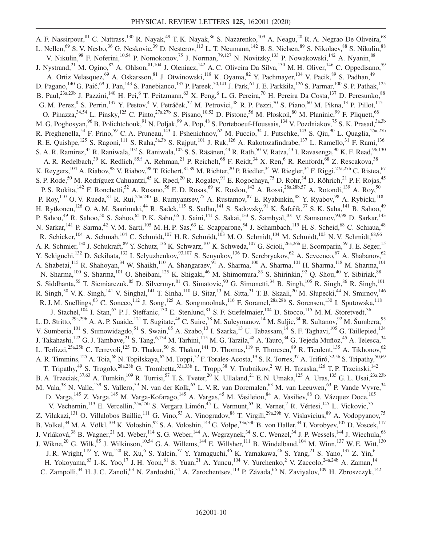<span id="page-9-0"></span>A. F. Nassirpour, <sup>81</sup> C. Nattrass, <sup>130</sup> R. Nayak, <sup>49</sup> T. K. Nayak, <sup>86</sup> S. Nazarenko, <sup>109</sup> A. Neagu, <sup>20</sup> R. A. Negrao De Oliveira, <sup>68</sup> L. Nellen,<sup>69</sup> S. V. Nesbo,<sup>36</sup> G. Neskovic,<sup>39</sup> D. Nesterov,<sup>113</sup> L. T. Neumann,<sup>142</sup> B. S. Nielsen,<sup>89</sup> S. Nikolaev,<sup>88</sup> S. Nikulin,<sup>88</sup> V. Nikulin,<sup>98</sup> F. Noferini,<sup>10,54</sup> P. Nomokonov,<sup>75</sup> J. Norman,<sup>79,127</sup> N. Novitzky,<sup>133</sup> P. Nowakowski,<sup>142</sup> A. Nyanin,<sup>88</sup> J. Nystrand,<sup>21</sup> M. Ogino,<sup>82</sup> A. Ohlson,<sup>81,104</sup> J. Oleniacz,<sup>142</sup> A. C. Oliveira Da Silva,<sup>130</sup> M. H. Oliver,<sup>146</sup> C. Oppedisano,<sup>59</sup> A. Ortiz Velasquez,<sup>69</sup> A. Oskarsson,<sup>81</sup> J. Otwinowski,<sup>118</sup> K. Oyama,<sup>82</sup> Y. Pachmayer,<sup>104</sup> V. Pacik,<sup>89</sup> S. Padhan,<sup>49</sup> D. Pagano,<sup>140</sup> G. Paić,<sup>69</sup> J. Pan,<sup>143</sup> S. Panebianco,<sup>137</sup> P. Pareek,<sup>50,141</sup> J. Park,<sup>61</sup> J. E. Parkkila,<sup>126</sup> S. Parmar,<sup>100</sup> S. P. Pathak,<sup>125</sup> B. Paul,<sup>23a,23b</sup> J. Pazzini,<sup>140</sup> H. Pei,<sup>6</sup> T. Peitzmann,<sup>63</sup> X. Peng,<sup>6</sup> L. G. Pereira,<sup>70</sup> H. Pereira Da Costa,<sup>137</sup> D. Peresunko,<sup>88</sup> G. M. Perez, <sup>8</sup> S. Perrin,<sup>137</sup> Y. Pestov,<sup>4</sup> V. Petráček,<sup>37</sup> M. Petrovici,<sup>48</sup> R. P. Pezzi,<sup>70</sup> S. Piano,<sup>60</sup> M. Pikna,<sup>13</sup> P. Pillot,<sup>115</sup> O. Pinazza,  $34,54$  L. Pinsky,  $125$  C. Pinto,  $27a,27b$  S. Pisano,  $10,52$  D. Pistone,  $56$  M. Płoskoń,  $80$  M. Planinic,  $99$  F. Pliquett,  $68$ M. G. Poghosyan,<sup>96</sup> B. Polichtchouk,<sup>91</sup> N. Poljak,<sup>99</sup> A. Pop,<sup>48</sup> S. Porteboeuf-Houssais,<sup>134</sup> V. Pozdniakov,<sup>75</sup> S. K. Prasad,<sup>3a,3b</sup> R. Preghenella,<sup>54</sup> F. Prino,<sup>59</sup> C. A. Pruneau,<sup>143</sup> I. Pshenichnov,<sup>62</sup> M. Puccio,<sup>34</sup> J. Putschke,<sup>143</sup> S. Qiu,<sup>90</sup> L. Quaglia,<sup>25a,25b</sup> R. E. Quishpe,<sup>125</sup> S. Ragoni,<sup>111</sup> S. Raha,<sup>3a,3b</sup> S. Rajput,<sup>101</sup> J. Rak,<sup>126</sup> A. Rakotozafindrabe,<sup>137</sup> L. Ramello,<sup>31</sup> F. Rami,<sup>136</sup> S. A. R. Ramirez,<sup>45</sup> R. Raniwala,<sup>102</sup> S. Raniwala,<sup>102</sup> S. S. Räsänen,<sup>44</sup> R. Rath,<sup>50</sup> V. Ratza,<sup>43</sup> I. Ravasenga,<sup>90</sup> K. F. Read,<sup>96,130</sup> A. R. Redelbach,<sup>39</sup> K. Redlich,<sup>85[,f](#page-12-5)</sup> A. Rehman,<sup>21</sup> P. Reichelt,<sup>68</sup> F. Reidt,<sup>34</sup> X. Ren,<sup>6</sup> R. Renfordt,<sup>68</sup> Z. Rescakova,<sup>38</sup> K. Reygers,<sup>104</sup> A. Riabov,<sup>98</sup> V. Riabov,<sup>98</sup> T. Richert,<sup>81,89</sup> M. Richter,<sup>20</sup> P. Riedler,<sup>34</sup> W. Riegler,<sup>34</sup> F. Riggi,<sup>27a,27b</sup> C. Ristea,<sup>67</sup> S. P. Rode,<sup>50</sup> M. Rodríguez Cahuantzi,<sup>45</sup> K. Røed,<sup>20</sup> R. Rogalev,<sup>91</sup> E. Rogochaya,<sup>75</sup> D. Rohr,<sup>34</sup> D. Röhrich,<sup>21</sup> P. F. Rojas,<sup>45</sup> P. S. Rokita,<sup>142</sup> F. Ronchetti,<sup>52</sup> A. Rosano,<sup>56</sup> E. D. Rosas,<sup>69</sup> K. Roslon,<sup>142</sup> A. Rossi,<sup>28a,28b,57</sup> A. Rotondi,<sup>139</sup> A. Roy,<sup>50</sup> P. Roy,<sup>110</sup> O. V. Rueda,<sup>81</sup> R. Rui,<sup>24a,24b</sup> B. Rumyantsev,<sup>75</sup> A. Rustamov,<sup>87</sup> E. Ryabinkin,<sup>88</sup> Y. Ryabov,<sup>98</sup> A. Rybicki,<sup>118</sup> H. Rytkonen,<sup>126</sup> O. A. M. Saarimaki,<sup>44</sup> R. Sadek,<sup>115</sup> S. Sadhu,<sup>141</sup> S. Sadovsky,<sup>91</sup> K. Šafar̃ík,<sup>37</sup> S. K. Saha,<sup>141</sup> B. Sahoo,<sup>49</sup> P. Sahoo,<sup>49</sup> R. Sahoo,<sup>50</sup> S. Sahoo,<sup>65</sup> P. K. Sahu,<sup>65</sup> J. Saini,<sup>141</sup> S. Sakai,<sup>133</sup> S. Sambyal,<sup>101</sup> V. Samsonov,<sup>93,98</sup> D. Sarkar,<sup>143</sup> N. Sarkar, <sup>141</sup> P. Sarma, <sup>42</sup> V. M. Sarti, <sup>105</sup> M. H. P. Sas, <sup>63</sup> E. Scapparone, <sup>54</sup> J. Schambach, <sup>119</sup> H. S. Scheid, <sup>68</sup> C. Schiaua, <sup>48</sup> R. Schicker, <sup>104</sup> A. Schmah, <sup>104</sup> C. Schmidt, <sup>107</sup> H. R. Schmidt, <sup>103</sup> M. O. Schmidt, <sup>104</sup> M. Schmidt, <sup>103</sup> N. V. Schmidt, <sup>68,96</sup> A. R. Schmier,<sup>130</sup> J. Schukraft,<sup>89</sup> Y. Schutz,<sup>136</sup> K. Schwarz,<sup>107</sup> K. Schweda,<sup>107</sup> G. Scioli,<sup>26a,26b</sup> E. Scomparin,<sup>59</sup> J. E. Seger,<sup>15</sup> Y. Sekiguchi,<sup>132</sup> D. Sekihata,<sup>132</sup> I. Selyuzhenkov,<sup>93,107</sup> S. Senyukov,<sup>136</sup> D. Serebryakov,<sup>62</sup> A. Sevcenco,<sup>67</sup> A. Shabanov,<sup>62</sup> A. Shabetai,<sup>115</sup> R. Shahoyan,<sup>34</sup> W. Shaikh,<sup>110</sup> A. Shangaraev,<sup>91</sup> A. Sharma,<sup>100</sup> A. Sharma,<sup>101</sup> H. Sharma,<sup>118</sup> M. Sharma,<sup>101</sup> N. Sharma,<sup>100</sup> S. Sharma,<sup>101</sup> O. Sheibani,<sup>125</sup> K. Shigaki,<sup>46</sup> M. Shimomura,<sup>83</sup> S. Shirinkin,<sup>92</sup> Q. Shou,<sup>40</sup> Y. Sibiriak,<sup>88</sup> S. Siddhanta,<sup>55</sup> T. Siemiarczuk,<sup>85</sup> D. Silvermyr,<sup>81</sup> G. Simatovic,<sup>90</sup> G. Simonetti,<sup>34</sup> B. Singh,<sup>105</sup> R. Singh,<sup>86</sup> R. Singh,<sup>101</sup> R. Singh,<sup>50</sup> V. K. Singh,<sup>141</sup> V. Singhal,<sup>141</sup> T. Sinha,<sup>110</sup> B. Sitar,<sup>13</sup> M. Sitta,<sup>31</sup> T. B. Skaali,<sup>20</sup> M. Slupecki,<sup>44</sup> N. Smirnov,<sup>146</sup> R. J. M. Snellings,  $^{63}$  C. Soncco,  $^{112}$  J. Song,  $^{125}$  A. Songmoolnak,  $^{116}$  F. Soramel,  $^{28a,28b}$  S. Sorensen,  $^{130}$  I. Sputowska,  $^{118}$ J. Stachel,<sup>104</sup> I. Stan,<sup>67</sup> P. J. Steffanic,<sup>130</sup> E. Stenlund,<sup>81</sup> S. F. Stiefelmaier,<sup>104</sup> D. Stocco,<sup>115</sup> M. M. Storetvedt,<sup>36</sup> L. D. Stritto,<sup>29a,29b</sup> A. A. P. Suaide,<sup>121</sup> T. Sugitate,<sup>46</sup> C. Suire,<sup>78</sup> M. Suleymanov,<sup>14</sup> M. Suljic,<sup>34</sup> R. Sultanov,<sup>92</sup> M. Šumbera,<sup>95</sup> V. Sumberia,<sup>101</sup> S. Sumowidagdo,<sup>51</sup> S. Swain,<sup>65</sup> A. Szabo,<sup>13</sup> I. Szarka,<sup>13</sup> U. Tabassam,<sup>14</sup> S. F. Taghavi,<sup>105</sup> G. Taillepied,<sup>134</sup> J. Takahashi,<sup>122</sup> G. J. Tambave,<sup>21</sup> S. Tang,<sup>6,134</sup> M. Tarhini,<sup>115</sup> M. G. Tarzila,<sup>48</sup> A. Tauro,<sup>34</sup> G. Tejeda Muñoz,<sup>45</sup> A. Telesca,<sup>34</sup> L. Terlizzi,<sup>25a,25b</sup> C. Terrevoli,<sup>125</sup> D. Thakur,<sup>50</sup> S. Thakur,<sup>141</sup> D. Thomas,<sup>119</sup> F. Thoresen,<sup>89</sup> R. Tieulent,<sup>135</sup> A. Tikhonov,<sup>62</sup> A. R. Timmins,<sup>125</sup> A. Toia,<sup>68</sup> N. Topilskaya,<sup>62</sup> M. Toppi,<sup>52</sup> F. Torales-Acosta,<sup>19</sup> S. R. Torres,<sup>37</sup> A. Trifiró,<sup>32,56</sup> S. Tripathy,<sup>50,69</sup> T. Tripathy,<sup>49</sup> S. Trogolo,<sup>28a,28b</sup> G. Trombetta,<sup>33a,33b</sup> L. Tropp,<sup>38</sup> V. Trubnikov,<sup>2</sup> W. H. Trzaska,<sup>126</sup> T. P. Trzcinski,<sup>142</sup> B. A. Trzeciak,  $37,63$  A. Tumkin,<sup>109</sup> R. Turrisi,<sup>57</sup> T. S. Tveter,<sup>20</sup> K. Ullaland,<sup>21</sup> E. N. Umaka,<sup>125</sup> A. Uras,<sup>135</sup> G. L. Usai,<sup>23a,23b</sup> M. Vala,<sup>38</sup> N. Valle,<sup>139</sup> S. Vallero,<sup>59</sup> N. van der Kolk,<sup>63</sup> L. V. R. van Doremalen,<sup>63</sup> M. van Leeuwen,<sup>63</sup> P. Vande Vyvre,<sup>34</sup> D. Varga,<sup>145</sup> Z. Varga,<sup>145</sup> M. Varga-Kofarago,<sup>145</sup> A. Vargas,<sup>45</sup> M. Vasileiou,<sup>84</sup> A. Vasiliev,<sup>88</sup> O. Vázquez Doce,<sup>105</sup> V. Vechernin,<sup>113</sup> E. Vercellin,<sup>25a,25b</sup> S. Vergara Limón,<sup>45</sup> L. Vermunt,<sup>63</sup> R. Vernet,<sup>7</sup> R. Vértesi,<sup>145</sup> L. Vickovic,<sup>35</sup> Z. Vilakazi,<sup>131</sup> O. Villalobos Baillie,<sup>111</sup> G. Vino,<sup>53</sup> A. Vinogradov,<sup>88</sup> T. Virgili,<sup>29a,29b</sup> V. Vislavicius,<sup>89</sup> A. Vodopyanov,<sup>75</sup> B. Volkel,<sup>34</sup> M. A. Völkl,<sup>103</sup> K. Voloshin,<sup>92</sup> S. A. Voloshin,<sup>143</sup> G. Volpe,<sup>33a,33b</sup> B. von Haller,<sup>34</sup> I. Vorobyev,<sup>105</sup> D. Voscek,<sup>117</sup> J. Vrláková,<sup>38</sup> B. Wagner,<sup>21</sup> M. Weber,<sup>114</sup> S. G. Weber,<sup>144</sup> A. Wegrzynek,<sup>34</sup> S. C. Wenzel,<sup>34</sup> J. P. Wessels,<sup>144</sup> J. Wiechula,<sup>68</sup> J. Wikne,<sup>20</sup> G. Wilk,<sup>85</sup> J. Wilkinson,<sup>10,54</sup> G. A. Willems,<sup>144</sup> E. Willsher,<sup>111</sup> B. Windelband,<sup>104</sup> M. Winn,<sup>137</sup> W. E. Witt,<sup>130</sup> J. R. Wright,<sup>119</sup> Y. Wu,<sup>128</sup> R. Xu,<sup>6</sup> S. Yalcin,<sup>77</sup> Y. Yamaguchi,<sup>46</sup> K. Yamakawa,<sup>46</sup> S. Yang,<sup>21</sup> S. Yano,<sup>137</sup> Z. Yin,<sup>6</sup> H. Yokoyama,<sup>63</sup> I.-K. Yoo,<sup>17</sup> J. H. Yoon,<sup>61</sup> S. Yuan,<sup>21</sup> A. Yuncu,<sup>104</sup> V. Yurchenko,<sup>2</sup> V. Zaccolo,<sup>24a,24b</sup> A. Zaman,<sup>14</sup> C. Zampolli,<sup>34</sup> H. J. C. Zanoli,<sup>63</sup> N. Zardoshti,<sup>34</sup> A. Zarochentsev,<sup>113</sup> P. Závada,<sup>66</sup> N. Zaviyalov,<sup>109</sup> H. Zbroszczyk,<sup>142</sup>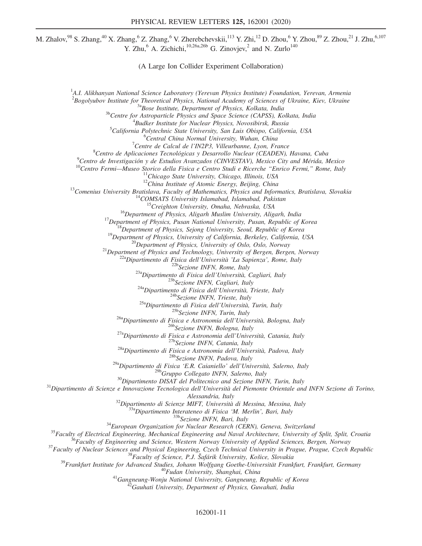M. Zhalov, $98$  S. Zhang, $^{40}$  X. Zhang, $^{6}$  Z. Zhang, $^{6}$  V. Zherebchevskii, $^{113}$  Y. Zhi, $^{12}$  D. Zhou, $^{6}$  Y. Zhou, $^{89}$  Z. Zhou, $^{21}$  J. Zhu, $^{6,107}$ Y. Zhu,  $6$  A. Zichichi,  $10,26a,26b$  G. Zinovjev,  $^2$  and N. Zurlo $140$ 

(A Large Ion Collider Experiment Collaboration)

<sup>1</sup>A.I. Alikhanyan National Science Laboratory (Yerevan Physics Institute) Foundation, Yerevan, Armenia <sup>2</sup>Bogolyubov Institute for Theoretical Physics, National Academy of Sciences of Ukraine, Kiev, Ukraine<br><sup>3a</sup>Bose Institute, Department of Physics, Kolkata, India<br><sup>3b</sup>Centre for Astroparticle Physics and Space Science (CAP <sup>4</sup> Budker Institute for Nuclear Physics, Novosibirsk, Russia <sup>5</sup>California Polytechnic State University, San Luis Obispo, California, USA  $6$ Central China Normal University, Wuhan, China  $^7$ Centre de Calcul de l'IN2P3, Villeurbanne, Lyon, France <sup>8</sup> Centro de Aplicaciones Tecnológicas y Desarrollo Nuclear (CEADEN), Havana, Cuba 9<sup>9</sup> Centro de Investigación y de Estudios Avanzados (CINVESTAV), Mexico City and Mérida, Mexico Centro de Investigación y de Estudios Avanzados (CINVESTAV), Mexico City and Mérida, Mexico Centro Fermi—Museo Storico della Fisica e Centro Studi e Ricerche "Enrico Fermi," Rome, Italy<br>
<sup>11</sup>Chicago State University, Chica <sup>296</sup>Gruppo Collegato INFN, Salerno, Italy<br><sup>30</sup>Dipartimento DISAT del Politecnico and Sezione INFN, Turin, Italy<br><sup>31</sup>Dipartimento di Scienze e Innovazione Tecnologica dell'Università del Piemonte Orientale and INFN Sezione Alessandria, Italy<br>
<sup>Alessandria, Italy<br>
<sup>32</sup>Dipartimento di Scienze MFF, Università di Messina, Messina, Italy<br>
<sup>33</sup>Sangipartimento Interateneo di Fisica 'M. Merlin', Bari, Italy<br>
<sup>33</sup>Sezione INFN, Bari, Italy<br>
<sup>33</sup>Sezion</sup>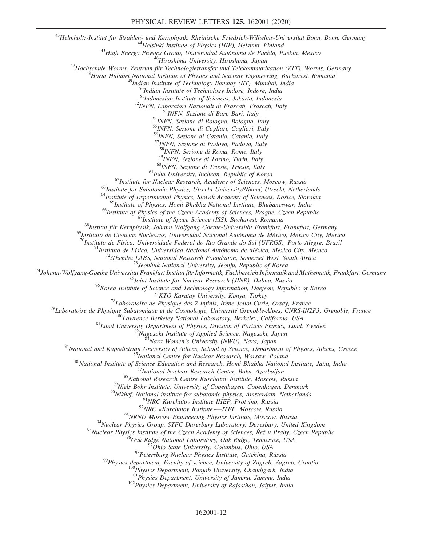$\emph{``Helmholtz-Institut für Strahlen- und Kernphysik, Rheinische Friedrich-Wilhelms-Universität Bonn, Bonn, Germany\n \emph{``Helsinki Institute of Physics (HIP), Helsinki, Finland\n \emph{``High Energy Physics Group, University, Hiroshima de Puebla, Puebla, Mexico\n \emph{``Hiroshima University, Hiroshima, Japan\n \emph{``Hiroshima University, Hiroshima, Japan\n \emph{``Hiroshima University, Hiroshima, Japan\n \emph{``Horia Hulubei National Institute of Physics and Nuclear Engineering, Bucharest, Romania\n \emph{``Indian Institute of Technology Bombay (IIT), Mumbai, India\n \emph{``Indian Institute of Technology, Endore, India\n \emph{``Indian Institute of Technology, Indore, Indore, India\n \emph$ 

<sup>52</sup>INFN, Laboratori Nazionali di Frascati, Frascati, Italy  $^{53}$ INFN, Sezione di Bari, Bari, Italy  $^{54}$ INFN, Sezione di Bologna, Bologna, Italy

<sup>55</sup>INFN, Sezione di Cagliari, Cagliari, Italy

<sup>56</sup>INFN, Sezione di Catania, Catania, Italy

<sup>57</sup>INFN, Sezione di Padova, Padova, Italy

<sup>58</sup>INFN, Sezione di Roma, Rome, Italy<br><sup>59</sup>INFN, Sezione di Torino, Turin, Italy

 $\begin{array}{c} \begin{array}{c} \text{60} \\ \text{INFN,} \end{array} \end{array} \begin{array}{c} \begin{array}{c} \text{60} \\ \text{In}} \end{array} \end{array} \begin{array}{c} \begin{array}{c} \text{61} \\ \text{In}} \end{array} \end{array} \begin{array}{c} \text{61} \\ \text{In}} \end{array} \begin{array}{c} \text{62} \\ \text{In}} \end{array} \begin{array}{c} \text{63} \\ \text{In}} \end{array} \begin{array}{c} \text{64} \\ \text{In}} \end{array} \begin{array}{c} \text{65} \\$ 

 $\begin{tabular}{c|c|c|c} \multicolumn{4}{c}{\textbf{\textit{m}}}_{\textbf{3D}}{\textbf{\textit{m}}}_{\textbf{5D}}{\textbf{\textit{m}}}_{\textbf{5D}}{\textbf{\textit{m}}}_{\textbf{6D}}{\textbf{\textit{m}}}_{\textbf{7D}}{\textbf{\textit{m}}}_{\textbf{8D}}{\textbf{\textit{m}}}_{\textbf{8D}}{\textbf{\textit{m}}}_{\textbf{8D}}{\textbf{\textit{m}}}_{\textbf{8D}}{\textbf{\textit{m}}}_{\textbf{8D}}{\textbf{\textit{m}}}_{\textbf{8D}}{\textbf{\textit{m}}}_{$ 

<sup>94</sup>Nuclear Physics Group, STFC Daresbury Laboratory, Daresbury, United Kingdom<br><sup>95</sup>Nuclear Physics Institute of the Czech Academy of Sciences, Řež u Prahy, Czech Republic<br><sup>96</sup>Oak Ridge National Laboratory, Oak Ridge, Ten

<sup>97</sup>Ohio State University, Columbus, Ohio, USA<br><sup>98</sup>Petersburg Nuclear Physics Institute, Gatchina, Russia<br><sup>99</sup>Physics department, Faculty of science, University of Zagreb, Zagreb, Croatia<br><sup>99</sup>Physics Department, Panjab Uni

101<br><sup>101</sup>Physics Department, University of Jammu, Jammu, India<br><sup>102</sup>Physics Department, University of Rajasthan, Jaipur, India